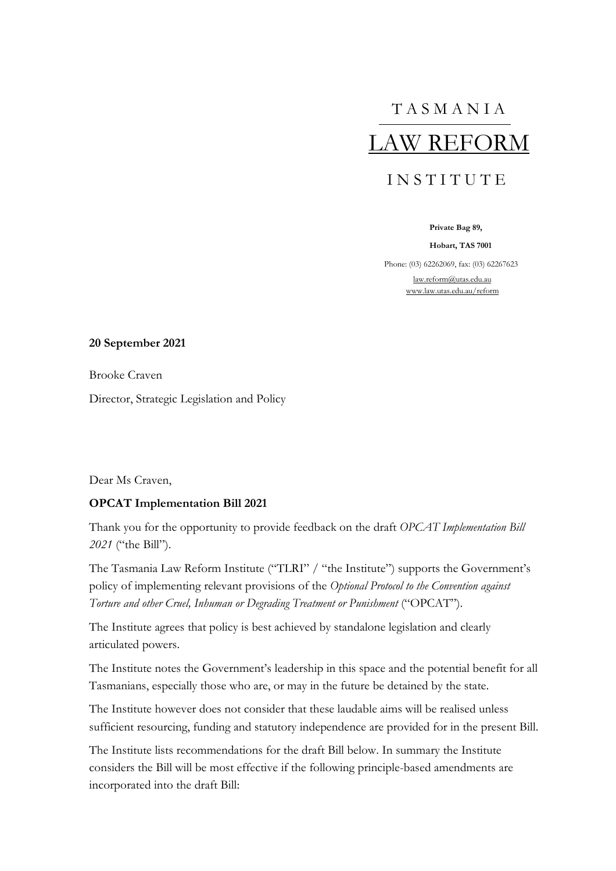T A S M A N I A LAW REFORM I N S T I T U T E

**Private Bag 89,**

**Hobart, TAS 7001**

Phone: (03) 62262069, fax: (03) 62267623 [law.reform@utas.edu.au](mailto:law.reform@utas.edu.au) [www.law.utas.edu.au/reform](http://www.law.utas.edu.au/reform)

#### **20 September 2021**

Brooke Craven

Director, Strategic Legislation and Policy

Dear Ms Craven,

#### **OPCAT Implementation Bill 2021**

Thank you for the opportunity to provide feedback on the draft *OPCAT Implementation Bill 2021* ("the Bill").

The Tasmania Law Reform Institute ("TLRI" / "the Institute") supports the Government's policy of implementing relevant provisions of the *Optional Protocol to the Convention against Torture and other Cruel, Inhuman or Degrading Treatment or Punishment* ("OPCAT").

The Institute agrees that policy is best achieved by standalone legislation and clearly articulated powers.

The Institute notes the Government's leadership in this space and the potential benefit for all Tasmanians, especially those who are, or may in the future be detained by the state.

The Institute however does not consider that these laudable aims will be realised unless sufficient resourcing, funding and statutory independence are provided for in the present Bill.

The Institute lists recommendations for the draft Bill below. In summary the Institute considers the Bill will be most effective if the following principle-based amendments are incorporated into the draft Bill: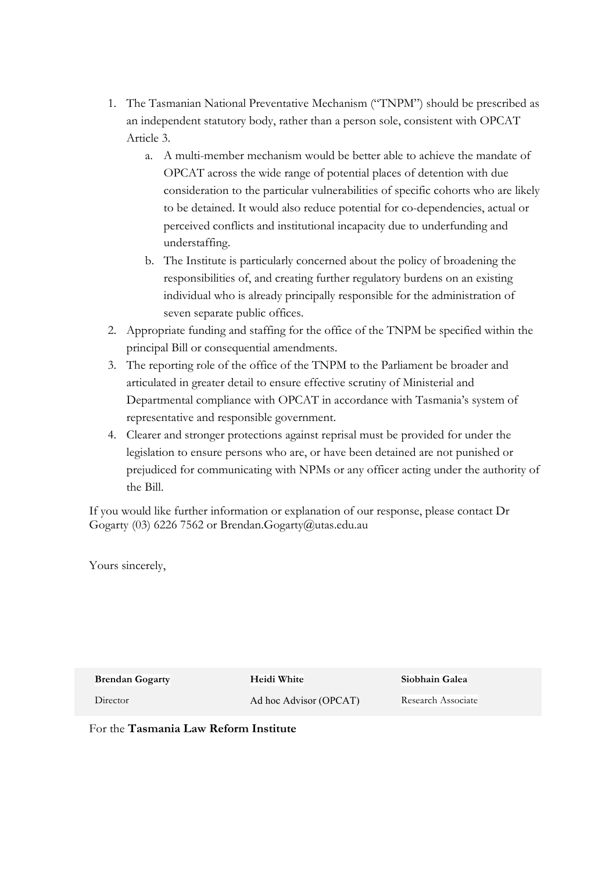- 1. The Tasmanian National Preventative Mechanism ("TNPM") should be prescribed as an independent statutory body, rather than a person sole, consistent with OPCAT Article 3.
	- a. A multi-member mechanism would be better able to achieve the mandate of OPCAT across the wide range of potential places of detention with due consideration to the particular vulnerabilities of specific cohorts who are likely to be detained. It would also reduce potential for co-dependencies, actual or perceived conflicts and institutional incapacity due to underfunding and understaffing.
	- b. The Institute is particularly concerned about the policy of broadening the responsibilities of, and creating further regulatory burdens on an existing individual who is already principally responsible for the administration of seven separate public offices.
- 2. Appropriate funding and staffing for the office of the TNPM be specified within the principal Bill or consequential amendments.
- 3. The reporting role of the office of the TNPM to the Parliament be broader and articulated in greater detail to ensure effective scrutiny of Ministerial and Departmental compliance with OPCAT in accordance with Tasmania's system of representative and responsible government.
- 4. Clearer and stronger protections against reprisal must be provided for under the legislation to ensure persons who are, or have been detained are not punished or prejudiced for communicating with NPMs or any officer acting under the authority of the Bill.

If you would like further information or explanation of our response, please contact Dr Gogarty (03) 6226 7562 or Brendan.Gogarty@utas.edu.au

Yours sincerely,

**Brendan Gogarty**

**Heidi White**

**Siobhain Galea** 

Director

Ad hoc Advisor (OPCAT)

Research Associate

For the **Tasmania Law Reform Institute**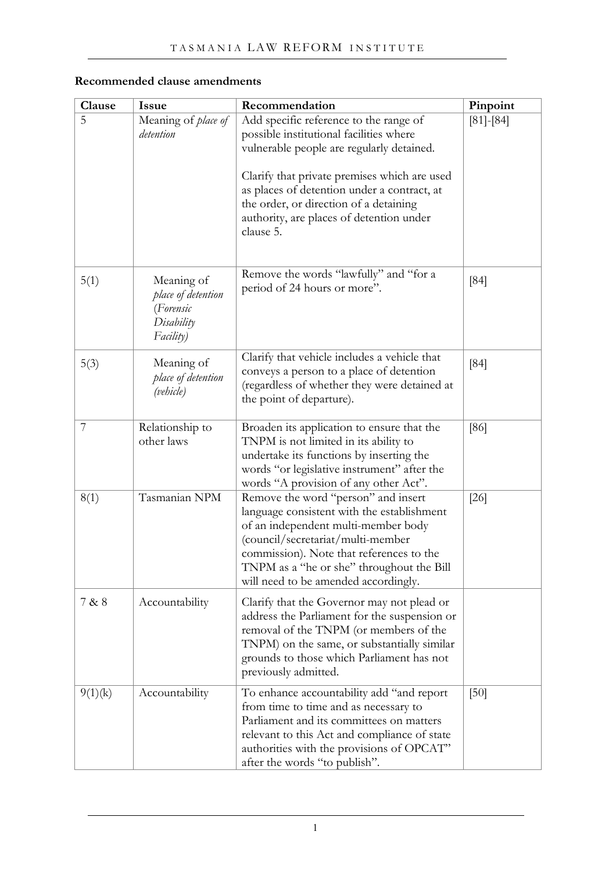# **Recommended clause amendments**

| Clause  | <b>Issue</b>                                                             | Recommendation                                                                                                                                                                                                                                                                                                                   | Pinpoint      |
|---------|--------------------------------------------------------------------------|----------------------------------------------------------------------------------------------------------------------------------------------------------------------------------------------------------------------------------------------------------------------------------------------------------------------------------|---------------|
| 5       | Meaning of place of<br>detention                                         | Add specific reference to the range of<br>possible institutional facilities where<br>vulnerable people are regularly detained.<br>Clarify that private premises which are used<br>as places of detention under a contract, at<br>the order, or direction of a detaining<br>authority, are places of detention under<br>clause 5. | $[81] - [84]$ |
| 5(1)    | Meaning of<br>place of detention<br>(Forensic<br>Disability<br>Facility) | Remove the words "lawfully" and "for a<br>period of 24 hours or more".                                                                                                                                                                                                                                                           | [84]          |
| 5(3)    | Meaning of<br>place of detention<br>(vehicle)                            | Clarify that vehicle includes a vehicle that<br>conveys a person to a place of detention<br>(regardless of whether they were detained at<br>the point of departure).                                                                                                                                                             | [84]          |
| 7       | Relationship to<br>other laws                                            | Broaden its application to ensure that the<br>TNPM is not limited in its ability to<br>undertake its functions by inserting the<br>words "or legislative instrument" after the<br>words "A provision of any other Act".                                                                                                          | [86]          |
| 8(1)    | Tasmanian NPM                                                            | Remove the word "person" and insert<br>language consistent with the establishment<br>of an independent multi-member body<br>(council/secretariat/multi-member<br>commission). Note that references to the<br>TNPM as a "he or she" throughout the Bill<br>will need to be amended accordingly.                                   | $[26]$        |
| 7 & 8   | Accountability                                                           | Clarify that the Governor may not plead or<br>address the Parliament for the suspension or<br>removal of the TNPM (or members of the<br>TNPM) on the same, or substantially similar<br>grounds to those which Parliament has not<br>previously admitted.                                                                         |               |
| 9(1)(k) | Accountability                                                           | To enhance accountability add "and report<br>from time to time and as necessary to<br>Parliament and its committees on matters<br>relevant to this Act and compliance of state<br>authorities with the provisions of OPCAT"<br>after the words "to publish".                                                                     | [50]          |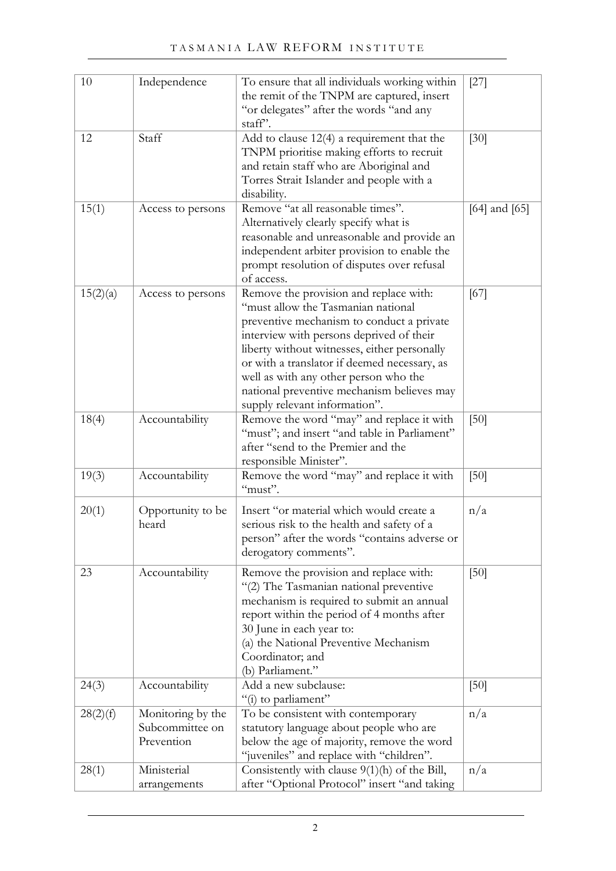| 10       | Independence                                       | To ensure that all individuals working within<br>the remit of the TNPM are captured, insert<br>"or delegates" after the words "and any<br>staff'.                                                                                                                                                                                                                                             | $[27]$            |
|----------|----------------------------------------------------|-----------------------------------------------------------------------------------------------------------------------------------------------------------------------------------------------------------------------------------------------------------------------------------------------------------------------------------------------------------------------------------------------|-------------------|
| 12       | Staff                                              | Add to clause 12(4) a requirement that the<br>TNPM prioritise making efforts to recruit<br>and retain staff who are Aboriginal and<br>Torres Strait Islander and people with a<br>disability.                                                                                                                                                                                                 | $[30]$            |
| 15(1)    | Access to persons                                  | Remove "at all reasonable times".<br>Alternatively clearly specify what is<br>reasonable and unreasonable and provide an<br>independent arbiter provision to enable the<br>prompt resolution of disputes over refusal<br>of access.                                                                                                                                                           | $[64]$ and $[65]$ |
| 15(2)(a) | Access to persons                                  | Remove the provision and replace with:<br>"must allow the Tasmanian national<br>preventive mechanism to conduct a private<br>interview with persons deprived of their<br>liberty without witnesses, either personally<br>or with a translator if deemed necessary, as<br>well as with any other person who the<br>national preventive mechanism believes may<br>supply relevant information". | [67]              |
| 18(4)    | Accountability                                     | Remove the word "may" and replace it with<br>"must"; and insert "and table in Parliament"<br>after "send to the Premier and the<br>responsible Minister".                                                                                                                                                                                                                                     | [50]              |
| 19(3)    | Accountability                                     | Remove the word "may" and replace it with<br>"must".                                                                                                                                                                                                                                                                                                                                          | [50]              |
| 20(1)    | Opportunity to be<br>heard                         | Insert "or material which would create a<br>serious risk to the health and safety of a<br>person" after the words "contains adverse or<br>derogatory comments".                                                                                                                                                                                                                               | n/a               |
| 23       | Accountability                                     | Remove the provision and replace with:<br>"(2) The Tasmanian national preventive<br>mechanism is required to submit an annual<br>report within the period of 4 months after<br>30 June in each year to:<br>(a) the National Preventive Mechanism<br>Coordinator; and<br>(b) Parliament."                                                                                                      | [50]              |
| 24(3)    | Accountability                                     | Add a new subclause:<br>"(i) to parliament"                                                                                                                                                                                                                                                                                                                                                   | [50]              |
| 28(2)(f) | Monitoring by the<br>Subcommittee on<br>Prevention | To be consistent with contemporary<br>statutory language about people who are<br>below the age of majority, remove the word<br>"juveniles" and replace with "children".                                                                                                                                                                                                                       | n/a               |
| 28(1)    | Ministerial<br>arrangements                        | Consistently with clause $9(1)(h)$ of the Bill,<br>after "Optional Protocol" insert "and taking                                                                                                                                                                                                                                                                                               | n/a               |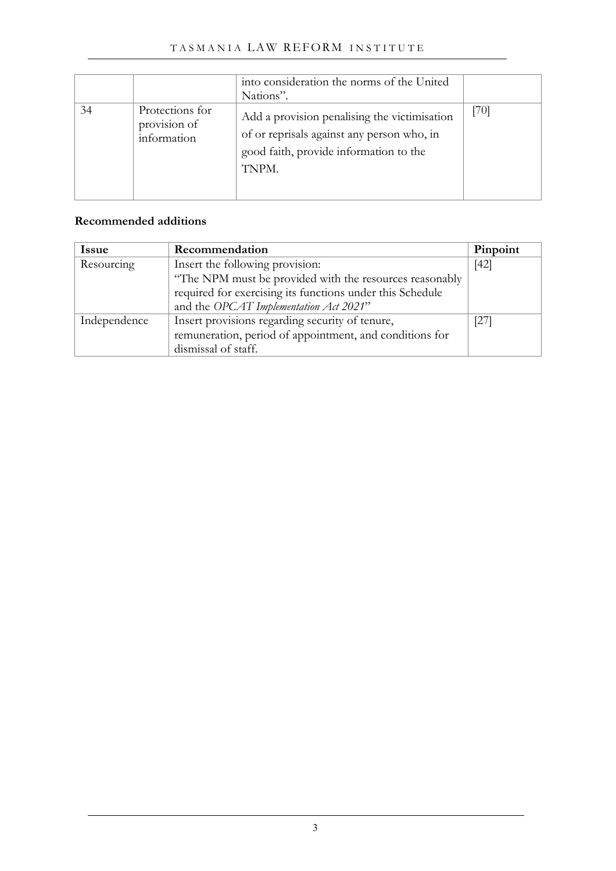|    |                                                | into consideration the norms of the United<br>Nations".                                                                                       |      |
|----|------------------------------------------------|-----------------------------------------------------------------------------------------------------------------------------------------------|------|
| 34 | Protections for<br>provision of<br>information | Add a provision penalising the victimisation<br>of or reprisals against any person who, in<br>good faith, provide information to the<br>TNPM. | [70] |

## **Recommended additions**

| <b>Issue</b> | Recommendation                                            | Pinpoint |
|--------------|-----------------------------------------------------------|----------|
| Resourcing   | Insert the following provision:                           |          |
|              | "The NPM must be provided with the resources reasonably   |          |
|              | required for exercising its functions under this Schedule |          |
|              | and the OPCAT Implementation Act 2021"                    |          |
| Independence | Insert provisions regarding security of tenure,           | [27]     |
|              | remuneration, period of appointment, and conditions for   |          |
|              | dismissal of staff.                                       |          |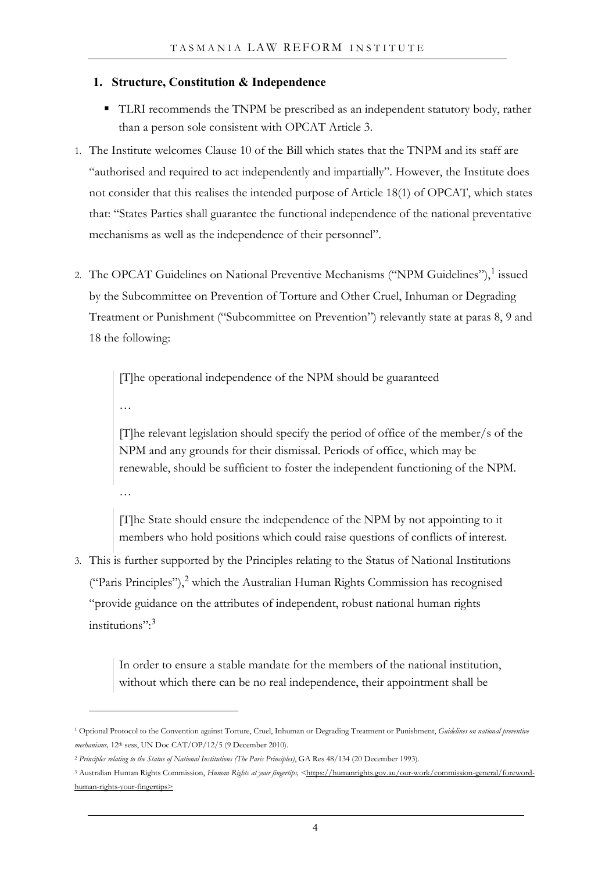### **1. Structure, Constitution & Independence**

- TLRI recommends the TNPM be prescribed as an independent statutory body, rather than a person sole consistent with OPCAT Article 3.
- 1. The Institute welcomes Clause 10 of the Bill which states that the TNPM and its staff are "authorised and required to act independently and impartially". However, the Institute does not consider that this realises the intended purpose of Article 18(1) of OPCAT, which states that: "States Parties shall guarantee the functional independence of the national preventative mechanisms as well as the independence of their personnel".
- 2. The OPCAT Guidelines on National Preventive Mechanisms ("NPM Guidelines"), I issued by the Subcommittee on Prevention of Torture and Other Cruel, Inhuman or Degrading Treatment or Punishment ("Subcommittee on Prevention") relevantly state at paras 8, 9 and 18 the following:

[T]he operational independence of the NPM should be guaranteed

…

[T]he relevant legislation should specify the period of office of the member/s of the NPM and any grounds for their dismissal. Periods of office, which may be renewable, should be sufficient to foster the independent functioning of the NPM. …

[T]he State should ensure the independence of the NPM by not appointing to it members who hold positions which could raise questions of conflicts of interest.

3. This is further supported by the Principles relating to the Status of National Institutions ("Paris Principles"),<sup>[2](#page-5-1)</sup> which the Australian Human Rights Commission has recognised "provide guidance on the attributes of independent, robust national human rights institutions":[3](#page-5-2)

> In order to ensure a stable mandate for the members of the national institution, without which there can be no real independence, their appointment shall be

<span id="page-5-0"></span><sup>1</sup> Optional Protocol to the Convention against Torture, Cruel, Inhuman or Degrading Treatment or Punishment, *Guidelines on national preventive mechanisms,* 12th sess, UN Doc CAT/OP/12/5 (9 December 2010).

<span id="page-5-1"></span><sup>2</sup> *Principles relating to the Status of National Institutions (The Paris Principles)*, GA Res 48/134 (20 December 1993).

<span id="page-5-2"></span><sup>3</sup> Australian Human Rights Commission, *Human Rights at your fingertips, <*[https://humanrights.gov.au/our-work/commission-general/foreword](https://humanrights.gov.au/our-work/commission-general/foreword-human-rights-your-fingertips)[human-rights-your-fingertips>](https://humanrights.gov.au/our-work/commission-general/foreword-human-rights-your-fingertips)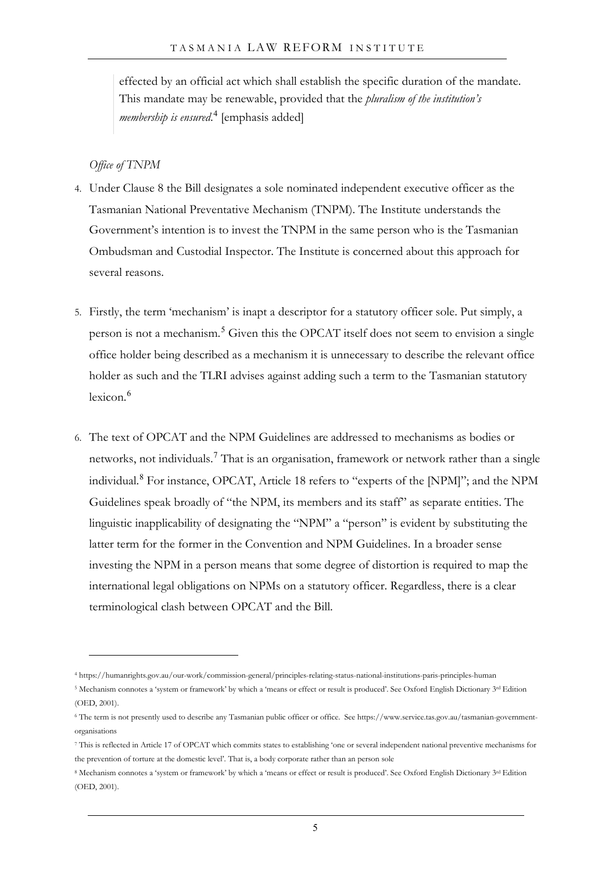effected by an official act which shall establish the specific duration of the mandate. This mandate may be renewable, provided that the *pluralism of the institution's membership is ensured*. [4](#page-6-0) [emphasis added]

#### *Office of TNPM*

- 4. Under Clause 8 the Bill designates a sole nominated independent executive officer as the Tasmanian National Preventative Mechanism (TNPM). The Institute understands the Government's intention is to invest the TNPM in the same person who is the Tasmanian Ombudsman and Custodial Inspector. The Institute is concerned about this approach for several reasons.
- 5. Firstly, the term 'mechanism' is inapt a descriptor for a statutory officer sole. Put simply, a person is not a mechanism.<sup>[5](#page-6-1)</sup> Given this the OPCAT itself does not seem to envision a single office holder being described as a mechanism it is unnecessary to describe the relevant office holder as such and the TLRI advises against adding such a term to the Tasmanian statutory lexicon.[6](#page-6-2)
- 6. The text of OPCAT and the NPM Guidelines are addressed to mechanisms as bodies or networks, not individuals.<sup>[7](#page-6-3)</sup> That is an organisation, framework or network rather than a single individual.[8](#page-6-4) For instance, OPCAT, Article 18 refers to "experts of the [NPM]"; and the NPM Guidelines speak broadly of "the NPM, its members and its staff" as separate entities. The linguistic inapplicability of designating the "NPM" a "person" is evident by substituting the latter term for the former in the Convention and NPM Guidelines. In a broader sense investing the NPM in a person means that some degree of distortion is required to map the international legal obligations on NPMs on a statutory officer. Regardless, there is a clear terminological clash between OPCAT and the Bill.

<span id="page-6-0"></span><sup>4</sup> https://humanrights.gov.au/our-work/commission-general/principles-relating-status-national-institutions-paris-principles-human

<span id="page-6-1"></span><sup>&</sup>lt;sup>5</sup> Mechanism connotes a 'system or framework' by which a 'means or effect or result is produced'. See Oxford English Dictionary 3<sup>rd</sup> Edition (OED, 2001).

<span id="page-6-2"></span><sup>6</sup> The term is not presently used to describe any Tasmanian public officer or office. See https://www.service.tas.gov.au/tasmanian-governmentorganisations

<span id="page-6-3"></span><sup>7</sup> This is reflected in Article 17 of OPCAT which commits states to establishing 'one or several independent national preventive mechanisms for the prevention of torture at the domestic level'. That is, a body corporate rather than an person sole

<span id="page-6-4"></span><sup>8</sup> Mechanism connotes a 'system or framework' by which a 'means or effect or result is produced'. See Oxford English Dictionary 3rd Edition (OED, 2001).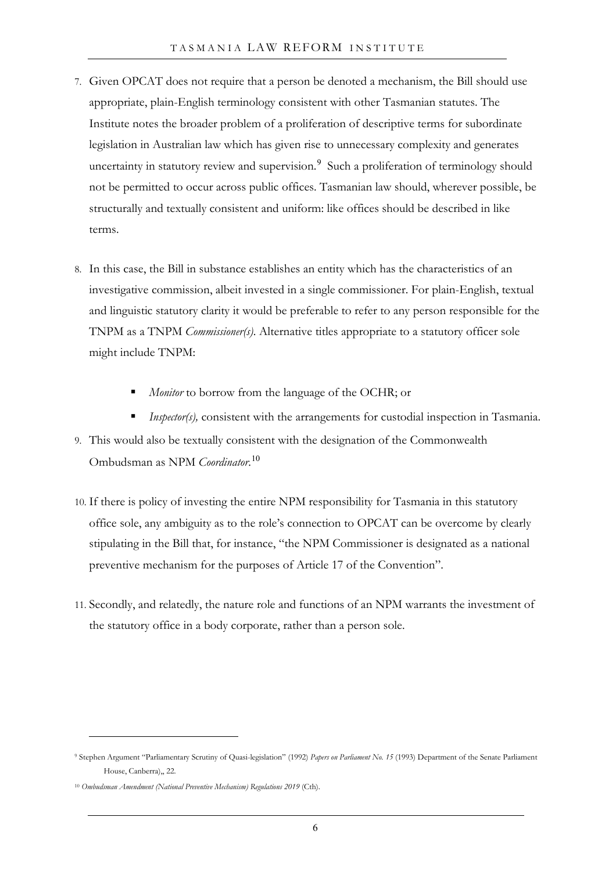- 7. Given OPCAT does not require that a person be denoted a mechanism, the Bill should use appropriate, plain-English terminology consistent with other Tasmanian statutes. The Institute notes the broader problem of a proliferation of descriptive terms for subordinate legislation in Australian law which has given rise to unnecessary complexity and generates uncertainty in statutory review and supervision.<sup>[9](#page-7-0)</sup> Such a proliferation of terminology should not be permitted to occur across public offices. Tasmanian law should, wherever possible, be structurally and textually consistent and uniform: like offices should be described in like terms.
- 8. In this case, the Bill in substance establishes an entity which has the characteristics of an investigative commission, albeit invested in a single commissioner. For plain-English, textual and linguistic statutory clarity it would be preferable to refer to any person responsible for the TNPM as a TNPM *Commissioner(s)*. Alternative titles appropriate to a statutory officer sole might include TNPM:
	- *Monitor* to borrow from the language of the OCHR; or
	- *Inspector(s)*, consistent with the arrangements for custodial inspection in Tasmania.
- 9. This would also be textually consistent with the designation of the Commonwealth Ombudsman as NPM *Coordinator*. [10](#page-7-1)
- 10. If there is policy of investing the entire NPM responsibility for Tasmania in this statutory office sole, any ambiguity as to the role's connection to OPCAT can be overcome by clearly stipulating in the Bill that, for instance, "the NPM Commissioner is designated as a national preventive mechanism for the purposes of Article 17 of the Convention".
- 11. Secondly, and relatedly, the nature role and functions of an NPM warrants the investment of the statutory office in a body corporate, rather than a person sole.

<span id="page-7-0"></span><sup>9</sup> Stephen Argument "Parliamentary Scrutiny of Quasi-legislation" (1992) *Papers on Parliament No. 15* (1993) Department of the Senate Parliament House, Canberra),, 22.

<span id="page-7-1"></span><sup>10</sup> *Ombudsman Amendment (National Preventive Mechanism) Regulations 2019* (Cth).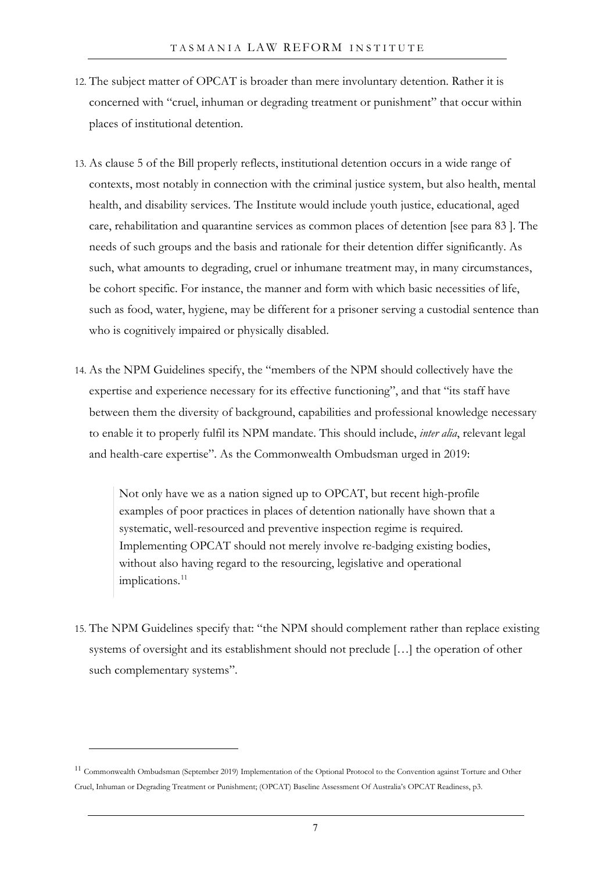- 12. The subject matter of OPCAT is broader than mere involuntary detention. Rather it is concerned with "cruel, inhuman or degrading treatment or punishment" that occur within places of institutional detention.
- 13. As clause 5 of the Bill properly reflects, institutional detention occurs in a wide range of contexts, most notably in connection with the criminal justice system, but also health, mental health, and disability services. The Institute would include youth justice, educational, aged care, rehabilitation and quarantine services as common places of detention [see para [83](#page-30-3) ]. The needs of such groups and the basis and rationale for their detention differ significantly. As such, what amounts to degrading, cruel or inhumane treatment may, in many circumstances, be cohort specific. For instance, the manner and form with which basic necessities of life, such as food, water, hygiene, may be different for a prisoner serving a custodial sentence than who is cognitively impaired or physically disabled.
- 14. As the NPM Guidelines specify, the "members of the NPM should collectively have the expertise and experience necessary for its effective functioning", and that "its staff have between them the diversity of background, capabilities and professional knowledge necessary to enable it to properly fulfil its NPM mandate. This should include, *inter alia*, relevant legal and health-care expertise". As the Commonwealth Ombudsman urged in 2019:

Not only have we as a nation signed up to OPCAT, but recent high-profile examples of poor practices in places of detention nationally have shown that a systematic, well-resourced and preventive inspection regime is required. Implementing OPCAT should not merely involve re-badging existing bodies, without also having regard to the resourcing, legislative and operational implications.<sup>[11](#page-8-0)</sup>

15. The NPM Guidelines specify that: "the NPM should complement rather than replace existing systems of oversight and its establishment should not preclude […] the operation of other such complementary systems".

<span id="page-8-0"></span><sup>&</sup>lt;sup>11</sup> Commonwealth Ombudsman (September 2019) Implementation of the Optional Protocol to the Convention against Torture and Other Cruel, Inhuman or Degrading Treatment or Punishment; (OPCAT) Baseline Assessment Of Australia's OPCAT Readiness, p3.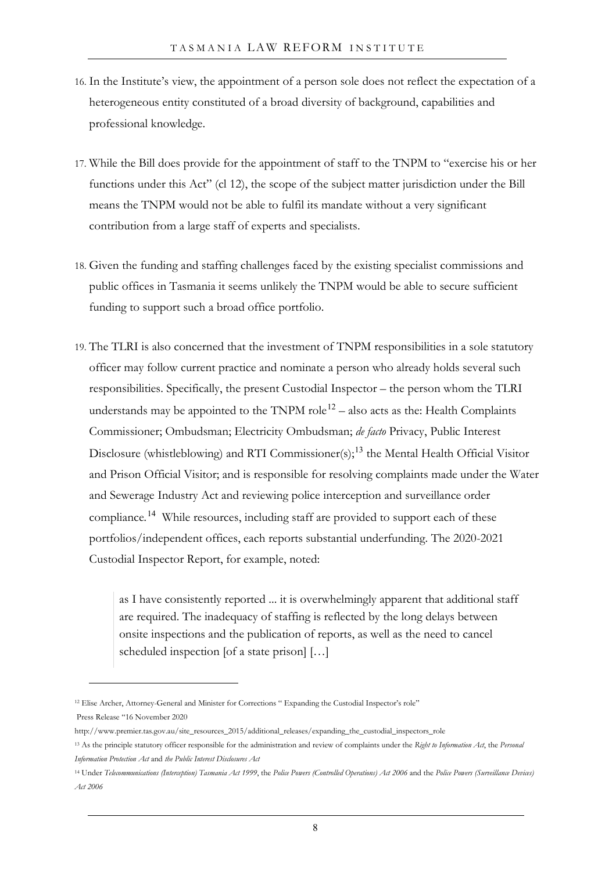- 16. In the Institute's view, the appointment of a person sole does not reflect the expectation of a heterogeneous entity constituted of a broad diversity of background, capabilities and professional knowledge.
- 17. While the Bill does provide for the appointment of staff to the TNPM to "exercise his or her functions under this Act" (cl 12), the scope of the subject matter jurisdiction under the Bill means the TNPM would not be able to fulfil its mandate without a very significant contribution from a large staff of experts and specialists.
- 18. Given the funding and staffing challenges faced by the existing specialist commissions and public offices in Tasmania it seems unlikely the TNPM would be able to secure sufficient funding to support such a broad office portfolio.
- 19. The TLRI is also concerned that the investment of TNPM responsibilities in a sole statutory officer may follow current practice and nominate a person who already holds several such responsibilities. Specifically, the present Custodial Inspector – the person whom the TLRI understands may be appointed to the TNPM role<sup>[12](#page-9-0)</sup> – also acts as the: Health Complaints Commissioner; Ombudsman; Electricity Ombudsman; *de facto* Privacy, Public Interest Disclosure (whistleblowing) and RTI Commissioner(s);<sup>[13](#page-9-1)</sup> the Mental Health Official Visitor and Prison Official Visitor; and is responsible for resolving complaints made under the Water and Sewerage Industry Act and reviewing police interception and surveillance order compliance*.* [14](#page-9-2) While resources, including staff are provided to support each of these portfolios/independent offices, each reports substantial underfunding. The 2020-2021 Custodial Inspector Report, for example, noted:

as I have consistently reported ... it is overwhelmingly apparent that additional staff are required. The inadequacy of staffing is reflected by the long delays between onsite inspections and the publication of reports, as well as the need to cancel scheduled inspection [of a state prison] […]

<span id="page-9-0"></span><sup>12</sup> Elise Archer, Attorney-General and Minister for Corrections " Expanding the Custodial Inspector's role" Press Release "16 November 2020

http://www.premier.tas.gov.au/site\_resources\_2015/additional\_releases/expanding\_the\_custodial\_inspectors\_role

<span id="page-9-1"></span><sup>13</sup> As the principle statutory officer responsible for the administration and review of complaints under the *Right to Information Act*, the *Personal Information Protection Act* and *the Public Interest Disclosures Act*

<span id="page-9-2"></span><sup>&</sup>lt;sup>14</sup> Under Telecommunications (Interception) Tasmania Act 1999, the Police Powers (Controlled Operations) Act 2006 and the Police Powers (Surveillance Devices) *Act 2006*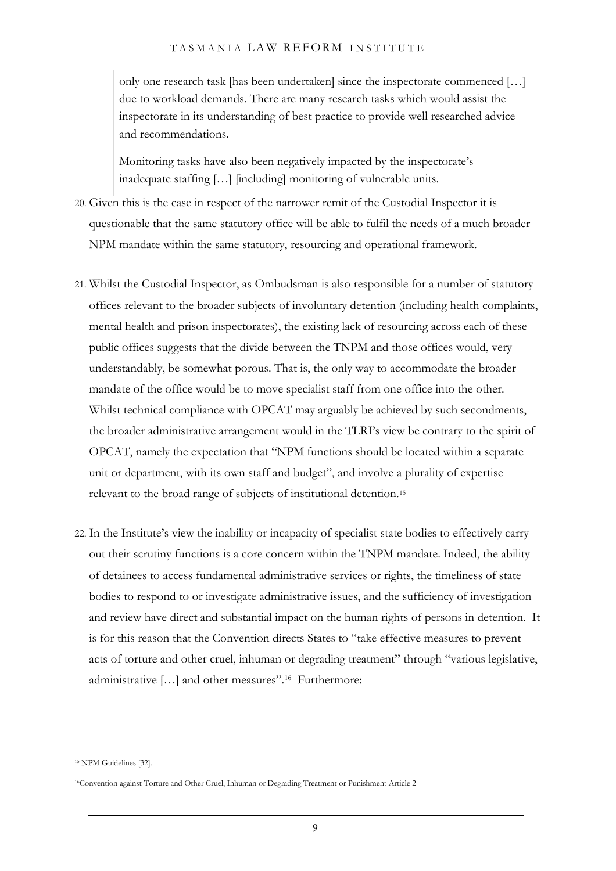only one research task [has been undertaken] since the inspectorate commenced […] due to workload demands. There are many research tasks which would assist the inspectorate in its understanding of best practice to provide well researched advice and recommendations.

Monitoring tasks have also been negatively impacted by the inspectorate's inadequate staffing […] [including] monitoring of vulnerable units.

- 20. Given this is the case in respect of the narrower remit of the Custodial Inspector it is questionable that the same statutory office will be able to fulfil the needs of a much broader NPM mandate within the same statutory, resourcing and operational framework.
- <span id="page-10-2"></span>21. Whilst the Custodial Inspector, as Ombudsman is also responsible for a number of statutory offices relevant to the broader subjects of involuntary detention (including health complaints, mental health and prison inspectorates), the existing lack of resourcing across each of these public offices suggests that the divide between the TNPM and those offices would, very understandably, be somewhat porous. That is, the only way to accommodate the broader mandate of the office would be to move specialist staff from one office into the other. Whilst technical compliance with OPCAT may arguably be achieved by such secondments, the broader administrative arrangement would in the TLRI's view be contrary to the spirit of OPCAT, namely the expectation that "NPM functions should be located within a separate unit or department, with its own staff and budget", and involve a plurality of expertise relevant to the broad range of subjects of institutional detention.[15](#page-10-0)
- 22. In the Institute's view the inability or incapacity of specialist state bodies to effectively carry out their scrutiny functions is a core concern within the TNPM mandate. Indeed, the ability of detainees to access fundamental administrative services or rights, the timeliness of state bodies to respond to or investigate administrative issues, and the sufficiency of investigation and review have direct and substantial impact on the human rights of persons in detention. It is for this reason that the Convention directs States to "take effective measures to prevent acts of torture and other cruel, inhuman or degrading treatment" through "various legislative, administrative […] and other measures".[16](#page-10-1) Furthermore:

<span id="page-10-0"></span><sup>&</sup>lt;sup>15</sup> NPM Guidelines [32].

<span id="page-10-1"></span><sup>16</sup>Convention against Torture and Other Cruel, Inhuman or Degrading Treatment or Punishment Article 2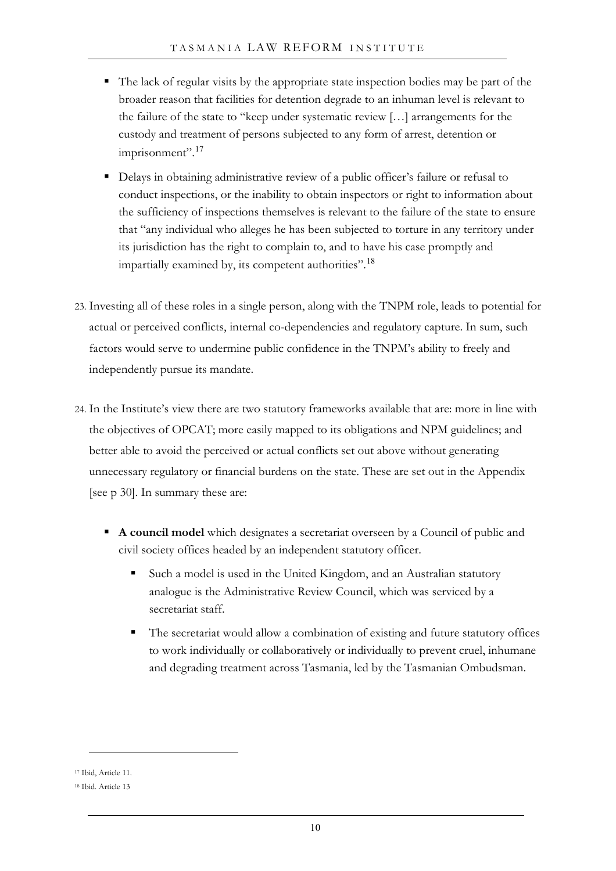- The lack of regular visits by the appropriate state inspection bodies may be part of the broader reason that facilities for detention degrade to an inhuman level is relevant to the failure of the state to "keep under systematic review […] arrangements for the custody and treatment of persons subjected to any form of arrest, detention or imprisonment".<sup>[17](#page-11-0)</sup>
- Delays in obtaining administrative review of a public officer's failure or refusal to conduct inspections, or the inability to obtain inspectors or right to information about the sufficiency of inspections themselves is relevant to the failure of the state to ensure that "any individual who alleges he has been subjected to torture in any territory under its jurisdiction has the right to complain to, and to have his case promptly and impartially examined by, its competent authorities".<sup>[18](#page-11-1)</sup>
- 23. Investing all of these roles in a single person, along with the TNPM role, leads to potential for actual or perceived conflicts, internal co-dependencies and regulatory capture. In sum, such factors would serve to undermine public confidence in the TNPM's ability to freely and independently pursue its mandate.
- <span id="page-11-2"></span>24. In the Institute's view there are two statutory frameworks available that are: more in line with the objectives of OPCAT; more easily mapped to its obligations and NPM guidelines; and better able to avoid the perceived or actual conflicts set out above without generating unnecessary regulatory or financial burdens on the state. These are set out in the Appendix [see p [30\]](#page-31-0). In summary these are:
	- **A council model** which designates a secretariat overseen by a Council of public and civil society offices headed by an independent statutory officer.
		- Such a model is used in the United Kingdom, and an Australian statutory analogue is the Administrative Review Council, which was serviced by a secretariat staff.
		- The secretariat would allow a combination of existing and future statutory offices to work individually or collaboratively or individually to prevent cruel, inhumane and degrading treatment across Tasmania, led by the Tasmanian Ombudsman.

<span id="page-11-0"></span><sup>17</sup> Ibid, Article 11.

<span id="page-11-1"></span><sup>18</sup> Ibid. Article 13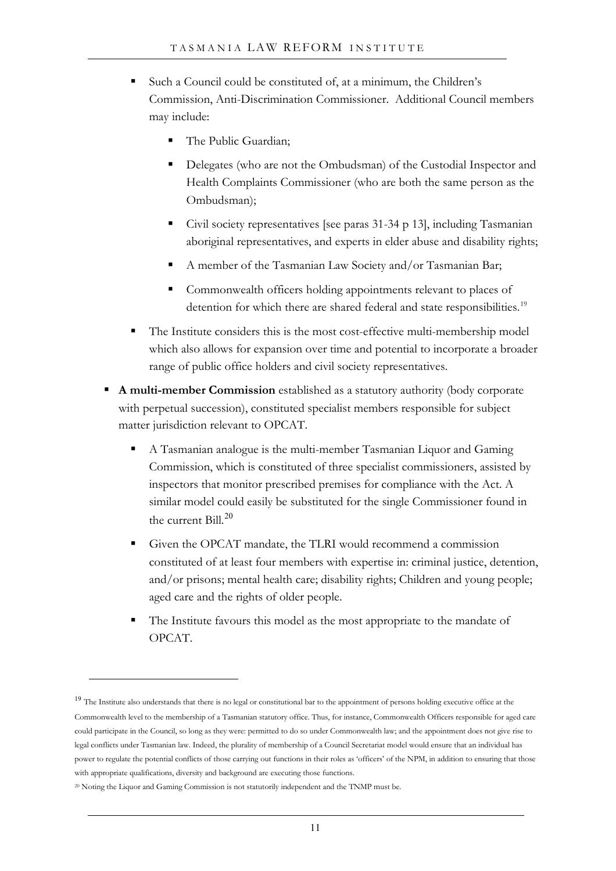- Such a Council could be constituted of, at a minimum, the Children's Commission, Anti-Discrimination Commissioner. Additional Council members may include:
	- The Public Guardian;
	- Delegates (who are not the Ombudsman) of the Custodial Inspector and Health Complaints Commissioner (who are both the same person as the Ombudsman);
	- Civil society representatives [see paras [31](#page-14-0)[-34](#page-14-1) p [13\]](#page-14-0), including Tasmanian aboriginal representatives, and experts in elder abuse and disability rights;
	- A member of the Tasmanian Law Society and/or Tasmanian Bar;
	- Commonwealth officers holding appointments relevant to places of detention for which there are shared federal and state responsibilities.<sup>[19](#page-12-0)</sup>
- The Institute considers this is the most cost-effective multi-membership model which also allows for expansion over time and potential to incorporate a broader range of public office holders and civil society representatives.
- **A multi-member Commission** established as a statutory authority (body corporate with perpetual succession), constituted specialist members responsible for subject matter jurisdiction relevant to OPCAT.
	- A Tasmanian analogue is the multi-member Tasmanian Liquor and Gaming Commission, which is constituted of three specialist commissioners, assisted by inspectors that monitor prescribed premises for compliance with the Act. A similar model could easily be substituted for the single Commissioner found in the current Bill. [20](#page-12-1)
	- Given the OPCAT mandate, the TLRI would recommend a commission constituted of at least four members with expertise in: criminal justice, detention, and/or prisons; mental health care; disability rights; Children and young people; aged care and the rights of older people.
	- The Institute favours this model as the most appropriate to the mandate of OPCAT.

<span id="page-12-0"></span><sup>&</sup>lt;sup>19</sup> The Institute also understands that there is no legal or constitutional bar to the appointment of persons holding executive office at the Commonwealth level to the membership of a Tasmanian statutory office. Thus, for instance, Commonwealth Officers responsible for aged care could participate in the Council, so long as they were: permitted to do so under Commonwealth law; and the appointment does not give rise to legal conflicts under Tasmanian law. Indeed, the plurality of membership of a Council Secretariat model would ensure that an individual has power to regulate the potential conflicts of those carrying out functions in their roles as 'officers' of the NPM, in addition to ensuring that those with appropriate qualifications, diversity and background are executing those functions.

<span id="page-12-1"></span><sup>&</sup>lt;sup>20</sup> Noting the Liquor and Gaming Commission is not statutorily independent and the TNMP must be.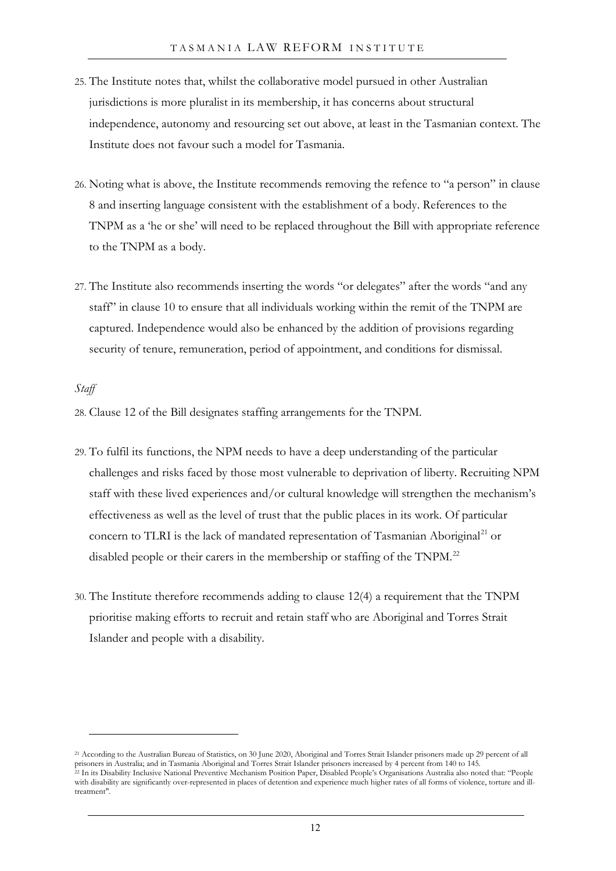- 25. The Institute notes that, whilst the collaborative model pursued in other Australian jurisdictions is more pluralist in its membership, it has concerns about structural independence, autonomy and resourcing set out above, at least in the Tasmanian context. The Institute does not favour such a model for Tasmania.
- <span id="page-13-0"></span>26. Noting what is above, the Institute recommends removing the refence to "a person" in clause 8 and inserting language consistent with the establishment of a body. References to the TNPM as a 'he or she' will need to be replaced throughout the Bill with appropriate reference to the TNPM as a body.
- <span id="page-13-1"></span>27. The Institute also recommends inserting the words "or delegates" after the words "and any staff" in clause 10 to ensure that all individuals working within the remit of the TNPM are captured. Independence would also be enhanced by the addition of provisions regarding security of tenure, remuneration, period of appointment, and conditions for dismissal.

#### *Staff*

28. Clause 12 of the Bill designates staffing arrangements for the TNPM.

- 29. To fulfil its functions, the NPM needs to have a deep understanding of the particular challenges and risks faced by those most vulnerable to deprivation of liberty. Recruiting NPM staff with these lived experiences and/or cultural knowledge will strengthen the mechanism's effectiveness as well as the level of trust that the public places in its work. Of particular concern to TLRI is the lack of mandated representation of Tasmanian Aboriginal<sup>[21](#page-13-3)</sup> or disabled people or their carers in the membership or staffing of the TNPM.<sup>[22](#page-13-4)</sup>
- <span id="page-13-2"></span>30. The Institute therefore recommends adding to clause 12(4) a requirement that the TNPM prioritise making efforts to recruit and retain staff who are Aboriginal and Torres Strait Islander and people with a disability.

<span id="page-13-4"></span><span id="page-13-3"></span><sup>21</sup> According to the Australian Bureau of Statistics, on 30 June 2020, Aboriginal and Torres Strait Islander prisoners made up 29 percent of all prisoners in Australia; and in Tasmania Aboriginal and Torres Strait Islander prisoners increased by 4 percent from 140 to 145. <sup>22</sup> In its Disability Inclusive National Preventive Mechanism Position Paper, Disabled People's Organisations Australia also noted that: "People with disability are significantly over-represented in places of detention and experience much higher rates of all forms of violence, torture and illtreatment".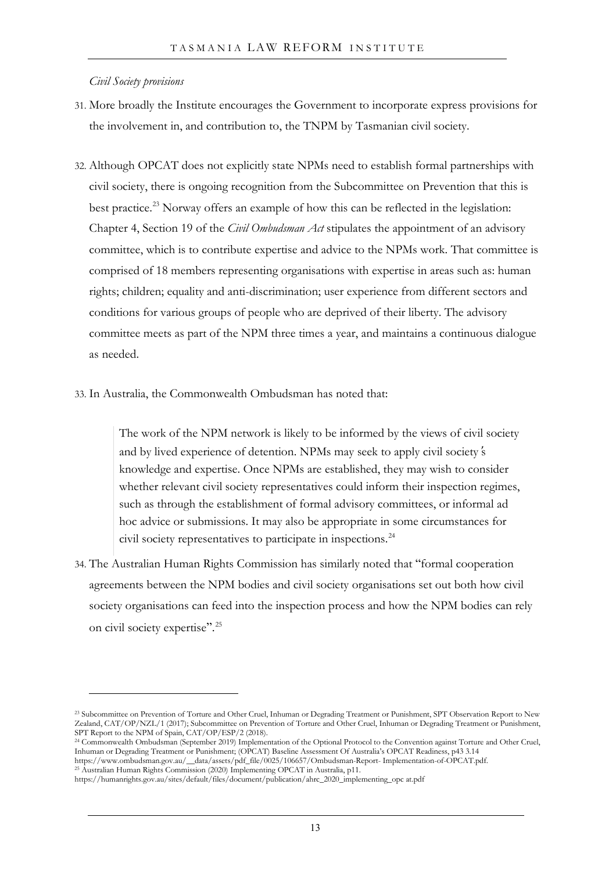*Civil Society provisions*

- <span id="page-14-0"></span>31. More broadly the Institute encourages the Government to incorporate express provisions for the involvement in, and contribution to, the TNPM by Tasmanian civil society.
- 32. Although OPCAT does not explicitly state NPMs need to establish formal partnerships with civil society, there is ongoing recognition from the Subcommittee on Prevention that this is best practice.<sup>23</sup> Norway offers an example of how this can be reflected in the legislation: Chapter 4, Section 19 of the *Civil Ombudsman Act* stipulates the appointment of an advisory committee, which is to contribute expertise and advice to the NPMs work. That committee is comprised of 18 members representing organisations with expertise in areas such as: human rights; children; equality and anti-discrimination; user experience from different sectors and conditions for various groups of people who are deprived of their liberty. The advisory committee meets as part of the NPM three times a year, and maintains a continuous dialogue as needed.
- 33. In Australia, the Commonwealth Ombudsman has noted that:

The work of the NPM network is likely to be informed by the views of civil society and by lived experience of detention. NPMs may seek to apply civil society's knowledge and expertise. Once NPMs are established, they may wish to consider whether relevant civil society representatives could inform their inspection regimes, such as through the establishment of formal advisory committees, or informal ad hoc advice or submissions. It may also be appropriate in some circumstances for civil society representatives to participate in inspections.<sup>24</sup>

<span id="page-14-1"></span>34. The Australian Human Rights Commission has similarly noted that "formal cooperation agreements between the NPM bodies and civil society organisations set out both how civil society organisations can feed into the inspection process and how the NPM bodies can rely on civil society expertise".<sup>[25](#page-14-3)</sup>

<span id="page-14-2"></span><sup>23</sup> Subcommittee on Prevention of Torture and Other Cruel, Inhuman or Degrading Treatment or Punishment, SPT Observation Report to New Zealand, CAT/OP/NZL/1 (2017); Subcommittee on Prevention of Torture and Other Cruel, Inhuman or Degrading Treatment or Punishment, SPT Report to the NPM of Spain, CAT/OP/ESP/2 (2018).

<sup>24</sup> Commonwealth Ombudsman (September 2019) Implementation of the Optional Protocol to the Convention against Torture and Other Cruel, Inhuman or Degrading Treatment or Punishment; (OPCAT) Baseline Assessment Of Australia's OPCAT Readiness, p43 3.14 https://www.ombudsman.gov.au/\_\_data/assets/pdf\_file/0025/106657/Ombudsman-Report- Implementation-of-OPCAT.pdf.

<span id="page-14-3"></span><sup>25</sup> Australian Human Rights Commission (2020) Implementing OPCAT in Australia, p11.

https://humanrights.gov.au/sites/default/files/document/publication/ahrc\_2020\_implementing\_opc at.pdf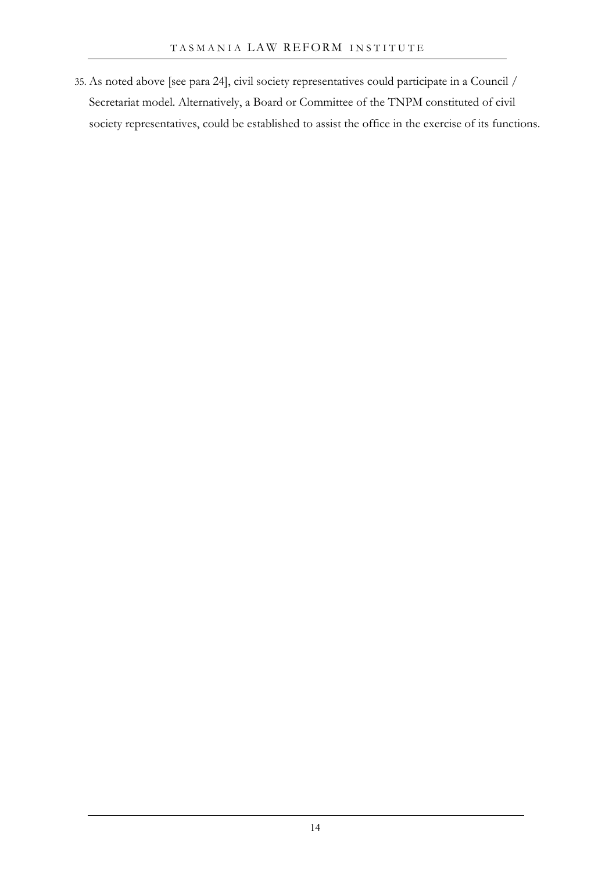35. As noted above [see para [24\]](#page-11-2), civil society representatives could participate in a Council / Secretariat model. Alternatively, a Board or Committee of the TNPM constituted of civil society representatives, could be established to assist the office in the exercise of its functions.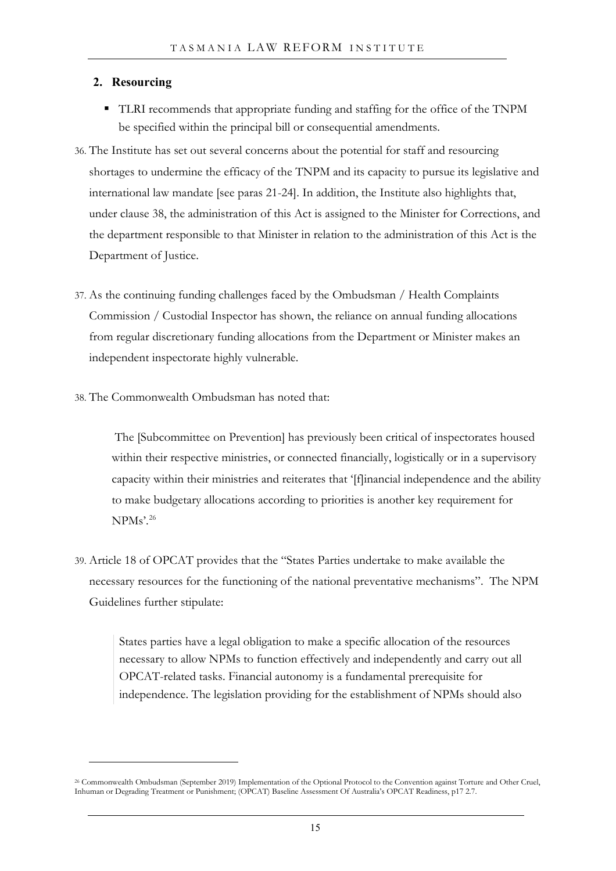## **2. Resourcing**

- TLRI recommends that appropriate funding and staffing for the office of the TNPM be specified within the principal bill or consequential amendments.
- 36. The Institute has set out several concerns about the potential for staff and resourcing shortages to undermine the efficacy of the TNPM and its capacity to pursue its legislative and international law mandate [see paras [21](#page-10-2)[-24\]](#page-11-2). In addition, the Institute also highlights that, under clause 38, the administration of this Act is assigned to the Minister for Corrections, and the department responsible to that Minister in relation to the administration of this Act is the Department of Justice.
- 37. As the continuing funding challenges faced by the Ombudsman / Health Complaints Commission / Custodial Inspector has shown, the reliance on annual funding allocations from regular discretionary funding allocations from the Department or Minister makes an independent inspectorate highly vulnerable.
- 38. The Commonwealth Ombudsman has noted that:

The [Subcommittee on Prevention] has previously been critical of inspectorates housed within their respective ministries, or connected financially, logistically or in a supervisory capacity within their ministries and reiterates that '[f]inancial independence and the ability to make budgetary allocations according to priorities is another key requirement for NPMs'.<sup>[26](#page-16-0)</sup>

39. Article 18 of OPCAT provides that the "States Parties undertake to make available the necessary resources for the functioning of the national preventative mechanisms". The NPM Guidelines further stipulate:

States parties have a legal obligation to make a specific allocation of the resources necessary to allow NPMs to function effectively and independently and carry out all OPCAT-related tasks. Financial autonomy is a fundamental prerequisite for independence. The legislation providing for the establishment of NPMs should also

<span id="page-16-0"></span><sup>26</sup> Commonwealth Ombudsman (September 2019) Implementation of the Optional Protocol to the Convention against Torture and Other Cruel, Inhuman or Degrading Treatment or Punishment; (OPCAT) Baseline Assessment Of Australia's OPCAT Readiness, p17 2.7.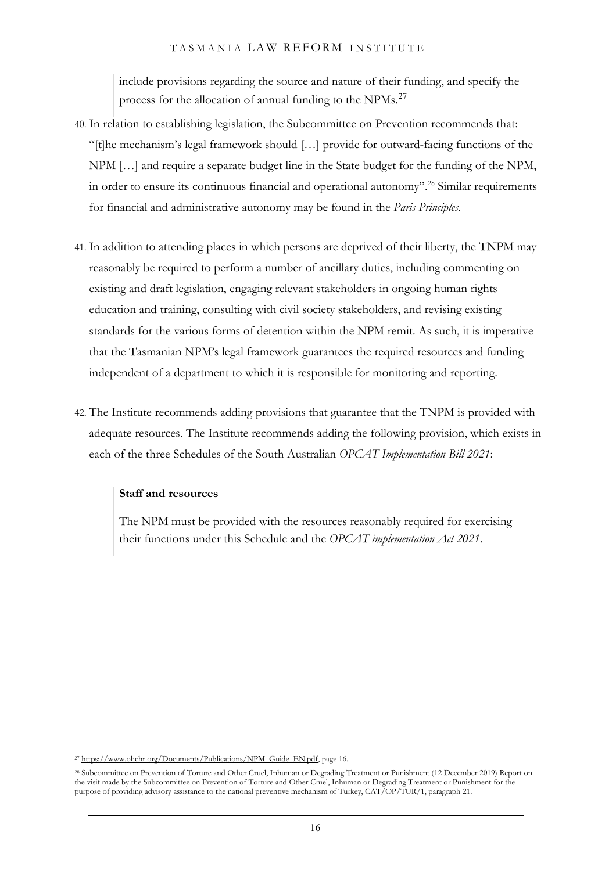include provisions regarding the source and nature of their funding, and specify the process for the allocation of annual funding to the NPMs.[27](#page-17-1)

- 40. In relation to establishing legislation, the Subcommittee on Prevention recommends that: "[t]he mechanism's legal framework should […] provide for outward-facing functions of the NPM […] and require a separate budget line in the State budget for the funding of the NPM, in order to ensure its continuous financial and operational autonomy". [28](#page-17-2) Similar requirements for financial and administrative autonomy may be found in the *Paris Principles.*
- 41. In addition to attending places in which persons are deprived of their liberty, the TNPM may reasonably be required to perform a number of ancillary duties, including commenting on existing and draft legislation, engaging relevant stakeholders in ongoing human rights education and training, consulting with civil society stakeholders, and revising existing standards for the various forms of detention within the NPM remit. As such, it is imperative that the Tasmanian NPM's legal framework guarantees the required resources and funding independent of a department to which it is responsible for monitoring and reporting.
- <span id="page-17-0"></span>42. The Institute recommends adding provisions that guarantee that the TNPM is provided with adequate resources. The Institute recommends adding the following provision, which exists in each of the three Schedules of the South Australian *OPCAT Implementation Bill 2021*:

### **Staff and resources**

The NPM must be provided with the resources reasonably required for exercising their functions under this Schedule and the *OPCAT implementation Act 2021*.

<span id="page-17-1"></span><sup>&</sup>lt;sup>27</sup> [https://www.ohchr.org/Documents/Publications/NPM\\_Guide\\_EN.pdf,](https://www.ohchr.org/Documents/Publications/NPM_Guide_EN.pdf) page 16.

<span id="page-17-2"></span><sup>28</sup> Subcommittee on Prevention of Torture and Other Cruel, Inhuman or Degrading Treatment or Punishment (12 December 2019) Report on the visit made by the Subcommittee on Prevention of Torture and Other Cruel, Inhuman or Degrading Treatment or Punishment for the purpose of providing advisory assistance to the national preventive mechanism of Turkey, CAT/OP/TUR/1, paragraph 21.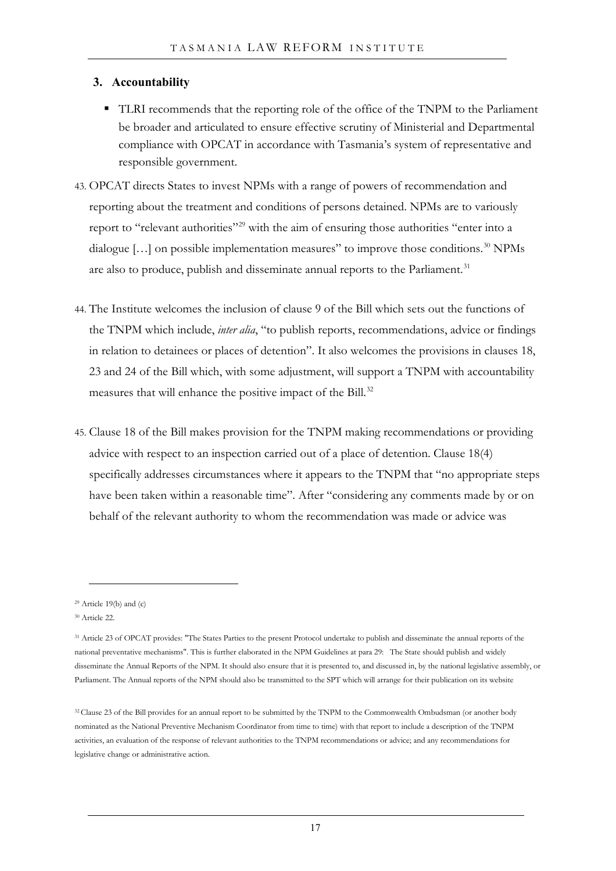## **3. Accountability**

- TLRI recommends that the reporting role of the office of the TNPM to the Parliament be broader and articulated to ensure effective scrutiny of Ministerial and Departmental compliance with OPCAT in accordance with Tasmania's system of representative and responsible government.
- 43. OPCAT directs States to invest NPMs with a range of powers of recommendation and reporting about the treatment and conditions of persons detained. NPMs are to variously report to "relevant authorities"[29](#page-18-0) with the aim of ensuring those authorities "enter into a dialogue  $[\dots]$  on possible implementation measures" to improve those conditions.<sup>[30](#page-18-1)</sup> NPMs are also to produce, publish and disseminate annual reports to the Parliament.<sup>[31](#page-18-2)</sup>
- 44. The Institute welcomes the inclusion of clause 9 of the Bill which sets out the functions of the TNPM which include, *inter alia*, "to publish reports, recommendations, advice or findings in relation to detainees or places of detention". It also welcomes the provisions in clauses 18, 23 and 24 of the Bill which, with some adjustment, will support a TNPM with accountability measures that will enhance the positive impact of the Bill.<sup>[32](#page-18-3)</sup>
- 45. Clause 18 of the Bill makes provision for the TNPM making recommendations or providing advice with respect to an inspection carried out of a place of detention. Clause 18(4) specifically addresses circumstances where it appears to the TNPM that "no appropriate steps have been taken within a reasonable time". After "considering any comments made by or on behalf of the relevant authority to whom the recommendation was made or advice was

<span id="page-18-0"></span> $29$  Article 19(b) and (c)

<span id="page-18-1"></span><sup>30</sup> Article 22.

<span id="page-18-2"></span><sup>31</sup> Article 23 of OPCAT provides: "The States Parties to the present Protocol undertake to publish and disseminate the annual reports of the national preventative mechanisms". This is further elaborated in the NPM Guidelines at para 29: The State should publish and widely disseminate the Annual Reports of the NPM. It should also ensure that it is presented to, and discussed in, by the national legislative assembly, or Parliament. The Annual reports of the NPM should also be transmitted to the SPT which will arrange for their publication on its website

<span id="page-18-3"></span><sup>32</sup> Clause 23 of the Bill provides for an annual report to be submitted by the TNPM to the Commonwealth Ombudsman (or another body nominated as the National Preventive Mechanism Coordinator from time to time) with that report to include a description of the TNPM activities, an evaluation of the response of relevant authorities to the TNPM recommendations or advice; and any recommendations for legislative change or administrative action.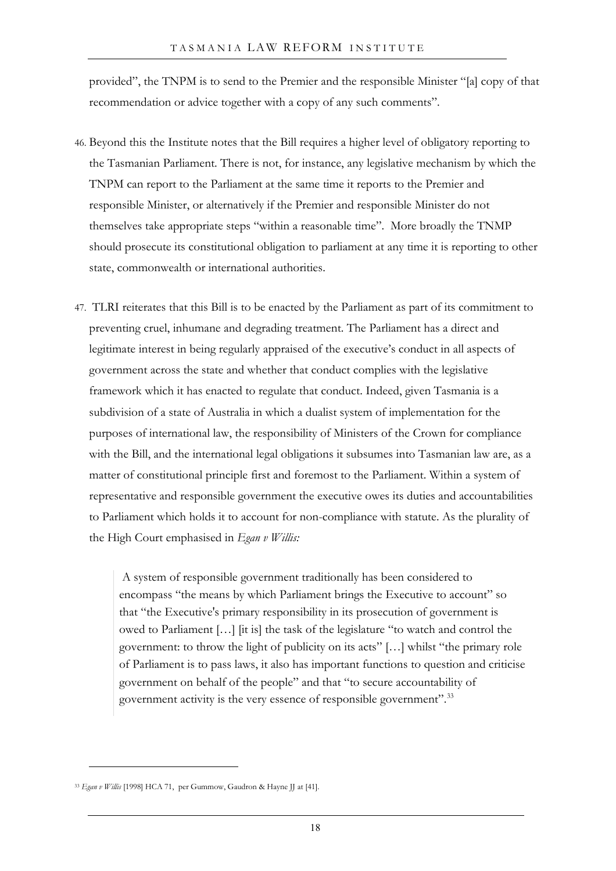provided", the TNPM is to send to the Premier and the responsible Minister "[a] copy of that recommendation or advice together with a copy of any such comments".

- 46. Beyond this the Institute notes that the Bill requires a higher level of obligatory reporting to the Tasmanian Parliament. There is not, for instance, any legislative mechanism by which the TNPM can report to the Parliament at the same time it reports to the Premier and responsible Minister, or alternatively if the Premier and responsible Minister do not themselves take appropriate steps "within a reasonable time". More broadly the TNMP should prosecute its constitutional obligation to parliament at any time it is reporting to other state, commonwealth or international authorities.
- 47. TLRI reiterates that this Bill is to be enacted by the Parliament as part of its commitment to preventing cruel, inhumane and degrading treatment. The Parliament has a direct and legitimate interest in being regularly appraised of the executive's conduct in all aspects of government across the state and whether that conduct complies with the legislative framework which it has enacted to regulate that conduct. Indeed, given Tasmania is a subdivision of a state of Australia in which a dualist system of implementation for the purposes of international law, the responsibility of Ministers of the Crown for compliance with the Bill, and the international legal obligations it subsumes into Tasmanian law are, as a matter of constitutional principle first and foremost to the Parliament. Within a system of representative and responsible government the executive owes its duties and accountabilities to Parliament which holds it to account for non-compliance with statute. As the plurality of the High Court emphasised in *Egan v Willis:*

A system of responsible government traditionally has been considered to encompass "the means by which Parliament brings the Executive to account" so that "the Executive's primary responsibility in its prosecution of government is owed to Parliament […] [it is] the task of the legislature "to watch and control the government: to throw the light of publicity on its acts" […] whilst "the primary role of Parliament is to pass laws, it also has important functions to question and criticise government on behalf of the people" and that "to secure accountability of government activity is the very essence of responsible government".<sup>[33](#page-19-0)</sup>

<span id="page-19-0"></span><sup>33</sup> *Egan v Willis* [1998] HCA 71, per Gummow, Gaudron & Hayne JJ at [41].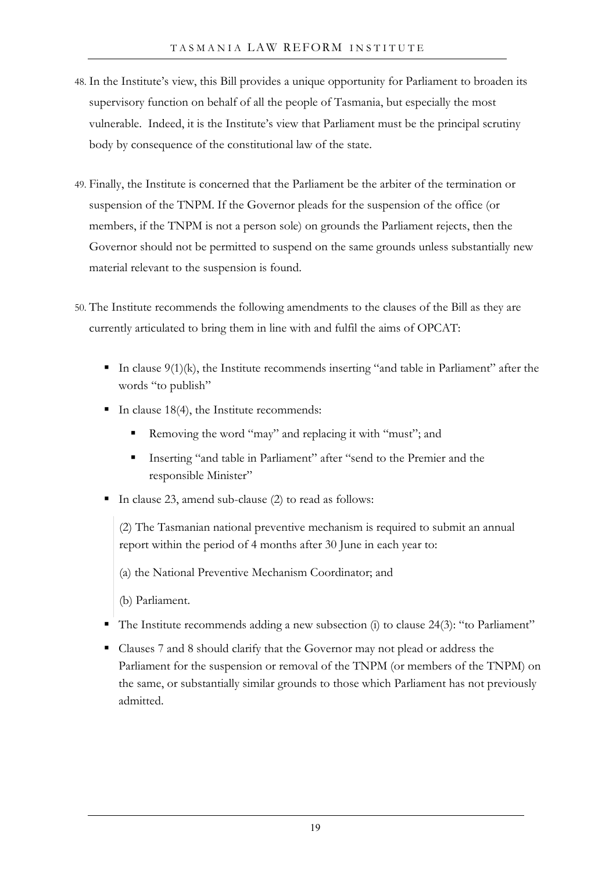- 48. In the Institute's view, this Bill provides a unique opportunity for Parliament to broaden its supervisory function on behalf of all the people of Tasmania, but especially the most vulnerable. Indeed, it is the Institute's view that Parliament must be the principal scrutiny body by consequence of the constitutional law of the state.
- 49. Finally, the Institute is concerned that the Parliament be the arbiter of the termination or suspension of the TNPM. If the Governor pleads for the suspension of the office (or members, if the TNPM is not a person sole) on grounds the Parliament rejects, then the Governor should not be permitted to suspend on the same grounds unless substantially new material relevant to the suspension is found.
- <span id="page-20-0"></span>50. The Institute recommends the following amendments to the clauses of the Bill as they are currently articulated to bring them in line with and fulfil the aims of OPCAT:
	- In clause  $9(1)(k)$ , the Institute recommends inserting "and table in Parliament" after the words "to publish"
	- In clause 18(4), the Institute recommends:
		- Removing the word "may" and replacing it with "must"; and
		- Inserting "and table in Parliament" after "send to the Premier and the responsible Minister"
	- In clause 23, amend sub-clause (2) to read as follows:

(2) The Tasmanian national preventive mechanism is required to submit an annual report within the period of 4 months after 30 June in each year to:

- (a) the National Preventive Mechanism Coordinator; and
- (b) Parliament.
- The Institute recommends adding a new subsection (i) to clause 24(3): "to Parliament"
- Clauses 7 and 8 should clarify that the Governor may not plead or address the Parliament for the suspension or removal of the TNPM (or members of the TNPM) on the same, or substantially similar grounds to those which Parliament has not previously admitted.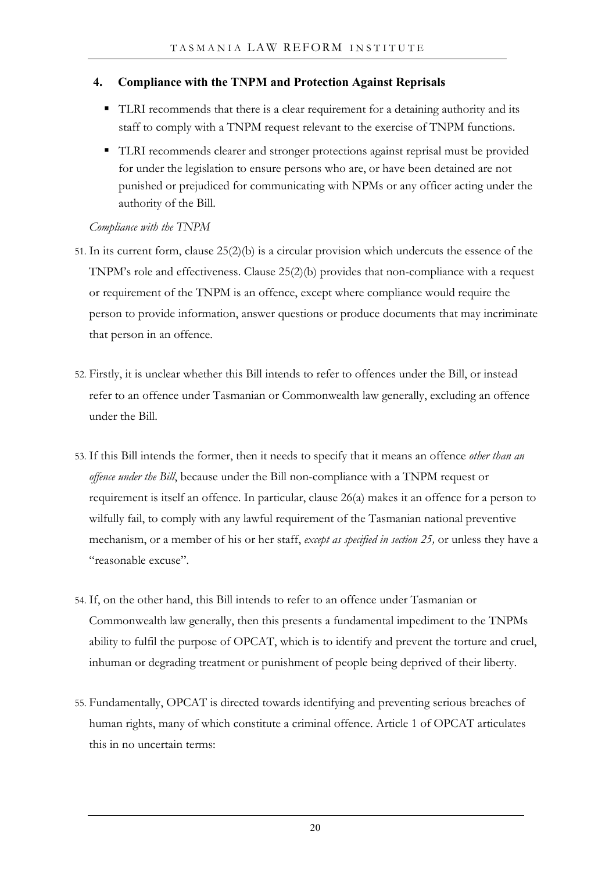## **4. Compliance with the TNPM and Protection Against Reprisals**

- TLRI recommends that there is a clear requirement for a detaining authority and its staff to comply with a TNPM request relevant to the exercise of TNPM functions.
- TLRI recommends clearer and stronger protections against reprisal must be provided for under the legislation to ensure persons who are, or have been detained are not punished or prejudiced for communicating with NPMs or any officer acting under the authority of the Bill.

## *Compliance with the TNPM*

- 51. In its current form, clause 25(2)(b) is a circular provision which undercuts the essence of the TNPM's role and effectiveness. Clause 25(2)(b) provides that non-compliance with a request or requirement of the TNPM is an offence, except where compliance would require the person to provide information, answer questions or produce documents that may incriminate that person in an offence.
- 52. Firstly, it is unclear whether this Bill intends to refer to offences under the Bill, or instead refer to an offence under Tasmanian or Commonwealth law generally, excluding an offence under the Bill.
- 53. If this Bill intends the former, then it needs to specify that it means an offence *other than an offence under the Bill*, because under the Bill non-compliance with a TNPM request or requirement is itself an offence. In particular, clause 26(a) makes it an offence for a person to wilfully fail, to comply with any lawful requirement of the Tasmanian national preventive mechanism, or a member of his or her staff, *except as specified in section 25,* or unless they have a "reasonable excuse".
- 54. If, on the other hand, this Bill intends to refer to an offence under Tasmanian or Commonwealth law generally, then this presents a fundamental impediment to the TNPMs ability to fulfil the purpose of OPCAT, which is to identify and prevent the torture and cruel, inhuman or degrading treatment or punishment of people being deprived of their liberty.
- 55. Fundamentally, OPCAT is directed towards identifying and preventing serious breaches of human rights, many of which constitute a criminal offence. Article 1 of OPCAT articulates this in no uncertain terms: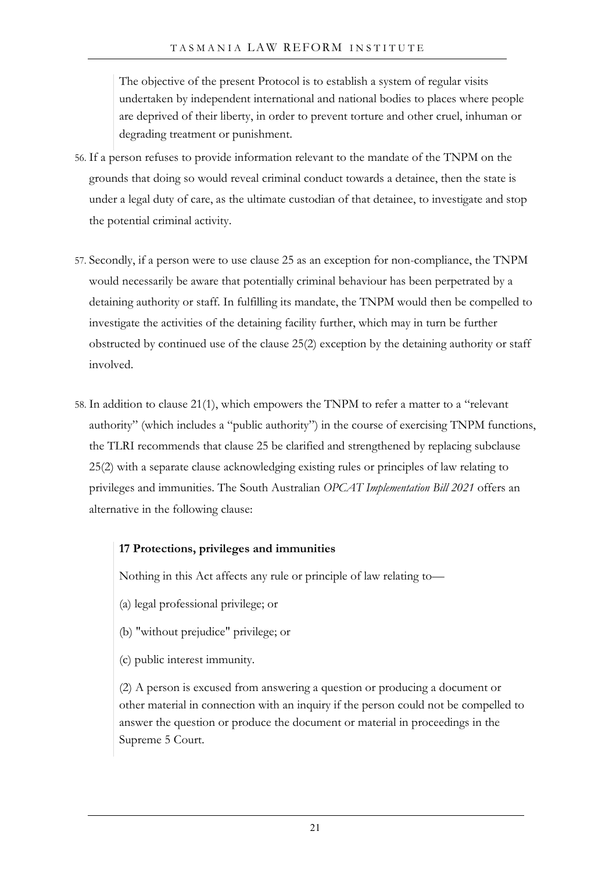The objective of the present Protocol is to establish a system of regular visits undertaken by independent international and national bodies to places where people are deprived of their liberty, in order to prevent torture and other cruel, inhuman or degrading treatment or punishment.

- 56. If a person refuses to provide information relevant to the mandate of the TNPM on the grounds that doing so would reveal criminal conduct towards a detainee, then the state is under a legal duty of care, as the ultimate custodian of that detainee, to investigate and stop the potential criminal activity.
- 57. Secondly, if a person were to use clause 25 as an exception for non-compliance, the TNPM would necessarily be aware that potentially criminal behaviour has been perpetrated by a detaining authority or staff. In fulfilling its mandate, the TNPM would then be compelled to investigate the activities of the detaining facility further, which may in turn be further obstructed by continued use of the clause 25(2) exception by the detaining authority or staff involved.
- 58. In addition to clause 21(1), which empowers the TNPM to refer a matter to a "relevant authority" (which includes a "public authority") in the course of exercising TNPM functions, the TLRI recommends that clause 25 be clarified and strengthened by replacing subclause 25(2) with a separate clause acknowledging existing rules or principles of law relating to privileges and immunities. The South Australian *OPCAT Implementation Bill 2021* offers an alternative in the following clause:

## **17 Protections, privileges and immunities**

Nothing in this Act affects any rule or principle of law relating to—

- (a) legal professional privilege; or
- (b) "without prejudice" privilege; or
- (c) public interest immunity.

(2) A person is excused from answering a question or producing a document or other material in connection with an inquiry if the person could not be compelled to answer the question or produce the document or material in proceedings in the Supreme 5 Court.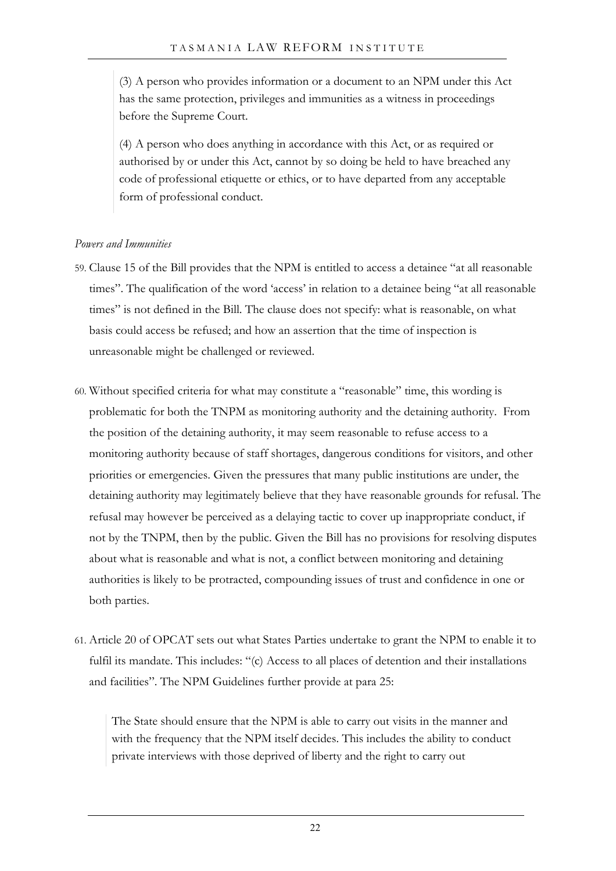(3) A person who provides information or a document to an NPM under this Act has the same protection, privileges and immunities as a witness in proceedings before the Supreme Court.

(4) A person who does anything in accordance with this Act, or as required or authorised by or under this Act, cannot by so doing be held to have breached any code of professional etiquette or ethics, or to have departed from any acceptable form of professional conduct.

#### *Powers and Immunities*

- 59. Clause 15 of the Bill provides that the NPM is entitled to access a detainee "at all reasonable times". The qualification of the word 'access' in relation to a detainee being "at all reasonable times" is not defined in the Bill. The clause does not specify: what is reasonable, on what basis could access be refused; and how an assertion that the time of inspection is unreasonable might be challenged or reviewed.
- 60. Without specified criteria for what may constitute a "reasonable" time, this wording is problematic for both the TNPM as monitoring authority and the detaining authority. From the position of the detaining authority, it may seem reasonable to refuse access to a monitoring authority because of staff shortages, dangerous conditions for visitors, and other priorities or emergencies. Given the pressures that many public institutions are under, the detaining authority may legitimately believe that they have reasonable grounds for refusal. The refusal may however be perceived as a delaying tactic to cover up inappropriate conduct, if not by the TNPM, then by the public. Given the Bill has no provisions for resolving disputes about what is reasonable and what is not, a conflict between monitoring and detaining authorities is likely to be protracted, compounding issues of trust and confidence in one or both parties.
- 61. Article 20 of OPCAT sets out what States Parties undertake to grant the NPM to enable it to fulfil its mandate. This includes: "(c) Access to all places of detention and their installations and facilities". The NPM Guidelines further provide at para 25:

The State should ensure that the NPM is able to carry out visits in the manner and with the frequency that the NPM itself decides. This includes the ability to conduct private interviews with those deprived of liberty and the right to carry out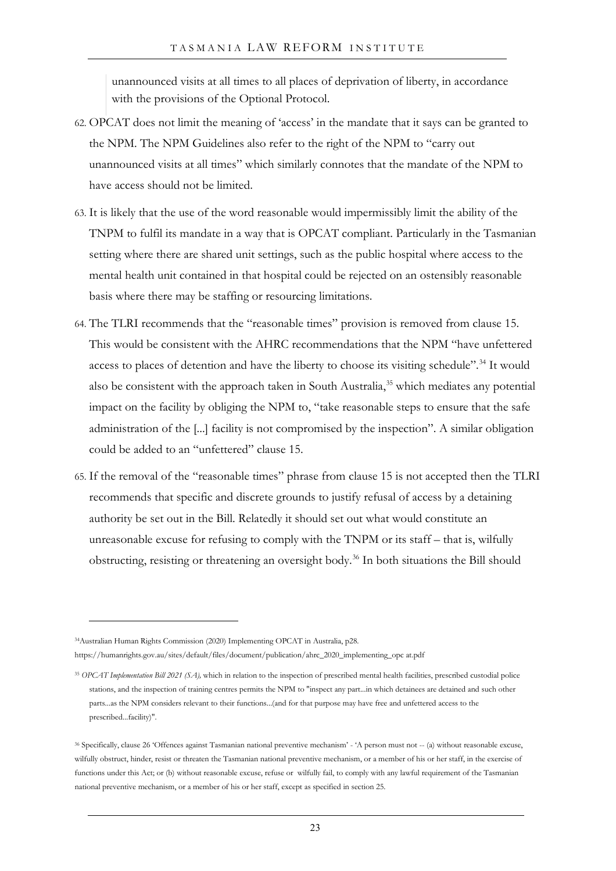unannounced visits at all times to all places of deprivation of liberty, in accordance with the provisions of the Optional Protocol.

- 62. OPCAT does not limit the meaning of 'access' in the mandate that it says can be granted to the NPM. The NPM Guidelines also refer to the right of the NPM to "carry out unannounced visits at all times" which similarly connotes that the mandate of the NPM to have access should not be limited.
- 63. It is likely that the use of the word reasonable would impermissibly limit the ability of the TNPM to fulfil its mandate in a way that is OPCAT compliant. Particularly in the Tasmanian setting where there are shared unit settings, such as the public hospital where access to the mental health unit contained in that hospital could be rejected on an ostensibly reasonable basis where there may be staffing or resourcing limitations.
- <span id="page-24-0"></span>64. The TLRI recommends that the "reasonable times" provision is removed from clause 15. This would be consistent with the AHRC recommendations that the NPM "have unfettered access to places of detention and have the liberty to choose its visiting schedule".<sup>[34](#page-24-2)</sup> It would also be consistent with the approach taken in South Australia,<sup>[35](#page-24-3)</sup> which mediates any potential impact on the facility by obliging the NPM to, "take reasonable steps to ensure that the safe administration of the [...] facility is not compromised by the inspection". A similar obligation could be added to an "unfettered" clause 15.
- <span id="page-24-1"></span>65. If the removal of the "reasonable times" phrase from clause 15 is not accepted then the TLRI recommends that specific and discrete grounds to justify refusal of access by a detaining authority be set out in the Bill. Relatedly it should set out what would constitute an unreasonable excuse for refusing to comply with the TNPM or its staff – that is, wilfully obstructing, resisting or threatening an oversight body.<sup>[36](#page-24-4)</sup> In both situations the Bill should

<span id="page-24-2"></span><sup>34</sup>Australian Human Rights Commission (2020) Implementing OPCAT in Australia, p28. https://humanrights.gov.au/sites/default/files/document/publication/ahrc\_2020\_implementing\_opc at.pdf

<span id="page-24-3"></span><sup>35</sup> *OPCAT Implementation Bill 2021 (SA),* which in relation to the inspection of prescribed mental health facilities, prescribed custodial police stations, and the inspection of training centres permits the NPM to "inspect any part...in which detainees are detained and such other parts...as the NPM considers relevant to their functions...(and for that purpose may have free and unfettered access to the prescribed...facility)".

<span id="page-24-4"></span><sup>36</sup> Specifically, clause 26 'Offences against Tasmanian national preventive mechanism' - 'A person must not -- (a) without reasonable excuse, wilfully obstruct, hinder, resist or threaten the Tasmanian national preventive mechanism, or a member of his or her staff, in the exercise of functions under this Act; or (b) without reasonable excuse, refuse or wilfully fail, to comply with any lawful requirement of the Tasmanian national preventive mechanism, or a member of his or her staff, except as specified in section 25.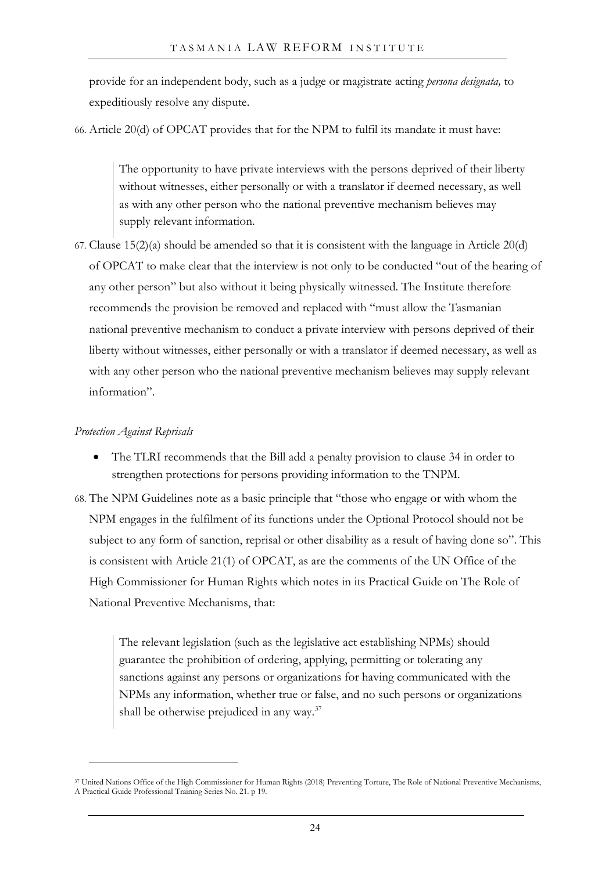provide for an independent body, such as a judge or magistrate acting *persona designata,* to expeditiously resolve any dispute.

66. Article 20(d) of OPCAT provides that for the NPM to fulfil its mandate it must have:

The opportunity to have private interviews with the persons deprived of their liberty without witnesses, either personally or with a translator if deemed necessary, as well as with any other person who the national preventive mechanism believes may supply relevant information.

<span id="page-25-0"></span>67. Clause  $15(2)(a)$  should be amended so that it is consistent with the language in Article  $20(d)$ of OPCAT to make clear that the interview is not only to be conducted "out of the hearing of any other person" but also without it being physically witnessed. The Institute therefore recommends the provision be removed and replaced with "must allow the Tasmanian national preventive mechanism to conduct a private interview with persons deprived of their liberty without witnesses, either personally or with a translator if deemed necessary, as well as with any other person who the national preventive mechanism believes may supply relevant information".

#### *Protection Against Reprisals*

• The TLRI recommends that the Bill add a penalty provision to clause 34 in order to strengthen protections for persons providing information to the TNPM.

68. The NPM Guidelines note as a basic principle that "those who engage or with whom the NPM engages in the fulfilment of its functions under the Optional Protocol should not be subject to any form of sanction, reprisal or other disability as a result of having done so". This is consistent with Article 21(1) of OPCAT, as are the comments of the UN Office of the High Commissioner for Human Rights which notes in its Practical Guide on The Role of National Preventive Mechanisms, that:

The relevant legislation (such as the legislative act establishing NPMs) should guarantee the prohibition of ordering, applying, permitting or tolerating any sanctions against any persons or organizations for having communicated with the NPMs any information, whether true or false, and no such persons or organizations shall be otherwise prejudiced in any way.<sup>[37](#page-25-1)</sup>

<span id="page-25-1"></span><sup>37</sup> United Nations Office of the High Commissioner for Human Rights (2018) Preventing Torture, The Role of National Preventive Mechanisms, A Practical Guide Professional Training Series No. 21. p 19.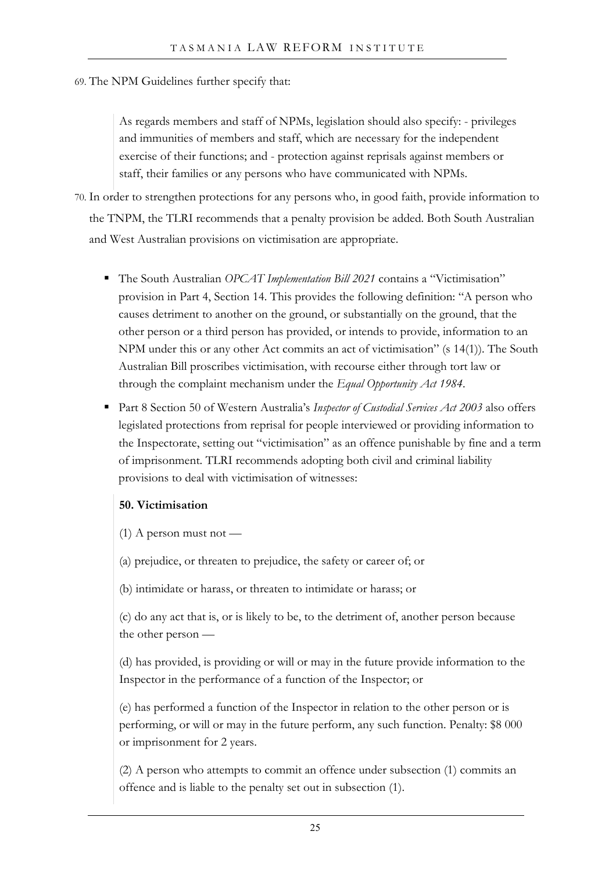#### 69. The NPM Guidelines further specify that:

As regards members and staff of NPMs, legislation should also specify: - privileges and immunities of members and staff, which are necessary for the independent exercise of their functions; and - protection against reprisals against members or staff, their families or any persons who have communicated with NPMs.

<span id="page-26-0"></span>70. In order to strengthen protections for any persons who, in good faith, provide information to the TNPM, the TLRI recommends that a penalty provision be added. Both South Australian and West Australian provisions on victimisation are appropriate.

- The South Australian *OPCAT Implementation Bill 2021* contains a "Victimisation" provision in Part 4, Section 14. This provides the following definition: "A person who causes detriment to another on the ground, or substantially on the ground, that the other person or a third person has provided, or intends to provide, information to an NPM under this or any other Act commits an act of victimisation" (s 14(1)). The South Australian Bill proscribes victimisation, with recourse either through tort law or through the complaint mechanism under the *Equal Opportunity Act 1984*.
- Part 8 Section 50 of Western Australia's *Inspector of Custodial Services Act 2003* also offers legislated protections from reprisal for people interviewed or providing information to the Inspectorate, setting out "victimisation" as an offence punishable by fine and a term of imprisonment. TLRI recommends adopting both civil and criminal liability provisions to deal with victimisation of witnesses:

### **50. Victimisation**

- $(1)$  A person must not —
- (a) prejudice, or threaten to prejudice, the safety or career of; or
- (b) intimidate or harass, or threaten to intimidate or harass; or

(c) do any act that is, or is likely to be, to the detriment of, another person because the other person —

(d) has provided, is providing or will or may in the future provide information to the Inspector in the performance of a function of the Inspector; or

(e) has performed a function of the Inspector in relation to the other person or is performing, or will or may in the future perform, any such function. Penalty: \$8 000 or imprisonment for 2 years.

(2) A person who attempts to commit an offence under subsection (1) commits an offence and is liable to the penalty set out in subsection (1).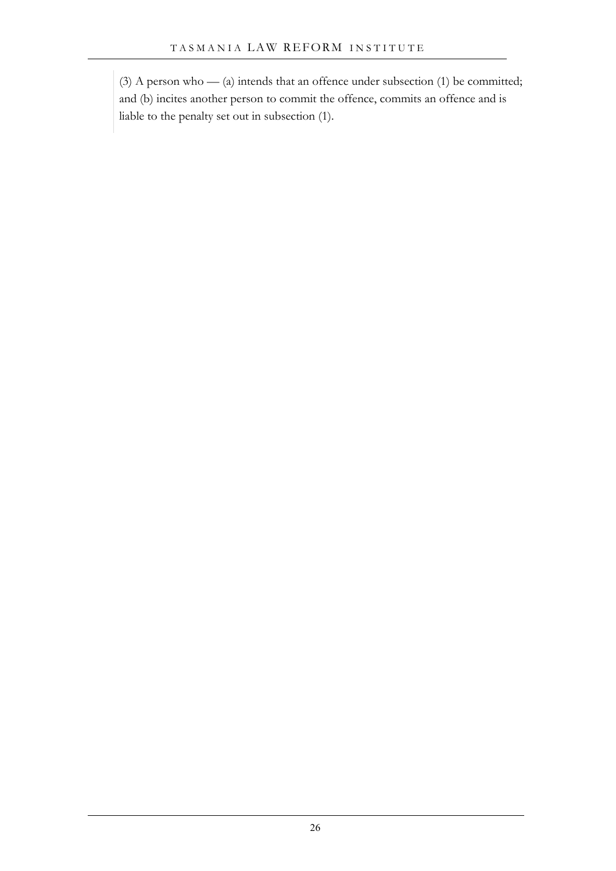(3) A person who — (a) intends that an offence under subsection (1) be committed; and (b) incites another person to commit the offence, commits an offence and is liable to the penalty set out in subsection (1).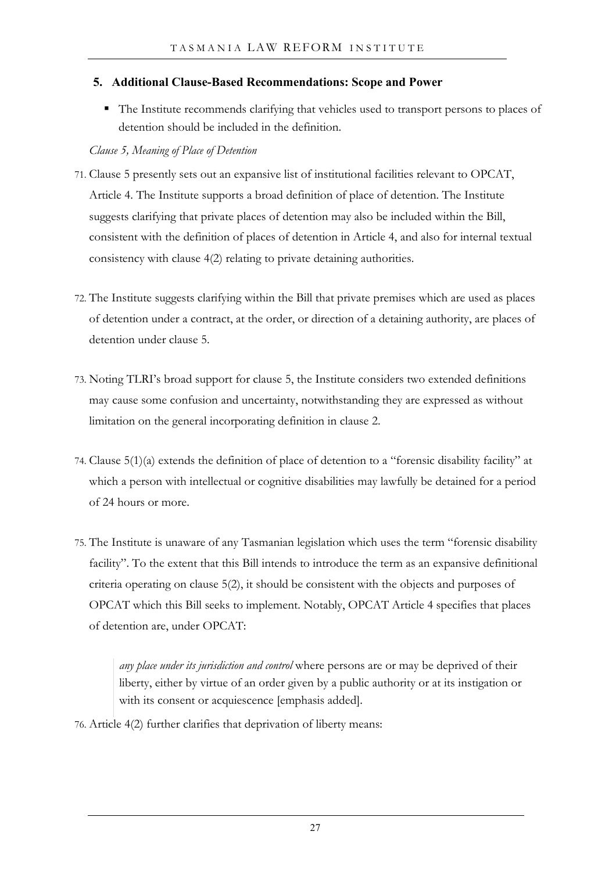## **5. Additional Clause-Based Recommendations: Scope and Power**

 The Institute recommends clarifying that vehicles used to transport persons to places of detention should be included in the definition.

## *Clause 5, Meaning of Place of Detention*

- 71. Clause 5 presently sets out an expansive list of institutional facilities relevant to OPCAT, Article 4. The Institute supports a broad definition of place of detention. The Institute suggests clarifying that private places of detention may also be included within the Bill, consistent with the definition of places of detention in Article 4, and also for internal textual consistency with clause 4(2) relating to private detaining authorities.
- 72. The Institute suggests clarifying within the Bill that private premises which are used as places of detention under a contract, at the order, or direction of a detaining authority, are places of detention under clause 5.
- 73. Noting TLRI's broad support for clause 5, the Institute considers two extended definitions may cause some confusion and uncertainty, notwithstanding they are expressed as without limitation on the general incorporating definition in clause 2.
- 74. Clause 5(1)(a) extends the definition of place of detention to a "forensic disability facility" at which a person with intellectual or cognitive disabilities may lawfully be detained for a period of 24 hours or more.
- 75. The Institute is unaware of any Tasmanian legislation which uses the term "forensic disability facility". To the extent that this Bill intends to introduce the term as an expansive definitional criteria operating on clause 5(2), it should be consistent with the objects and purposes of OPCAT which this Bill seeks to implement. Notably, OPCAT Article 4 specifies that places of detention are, under OPCAT:

*any place under its jurisdiction and control* where persons are or may be deprived of their liberty, either by virtue of an order given by a public authority or at its instigation or with its consent or acquiescence [emphasis added].

76. Article 4(2) further clarifies that deprivation of liberty means: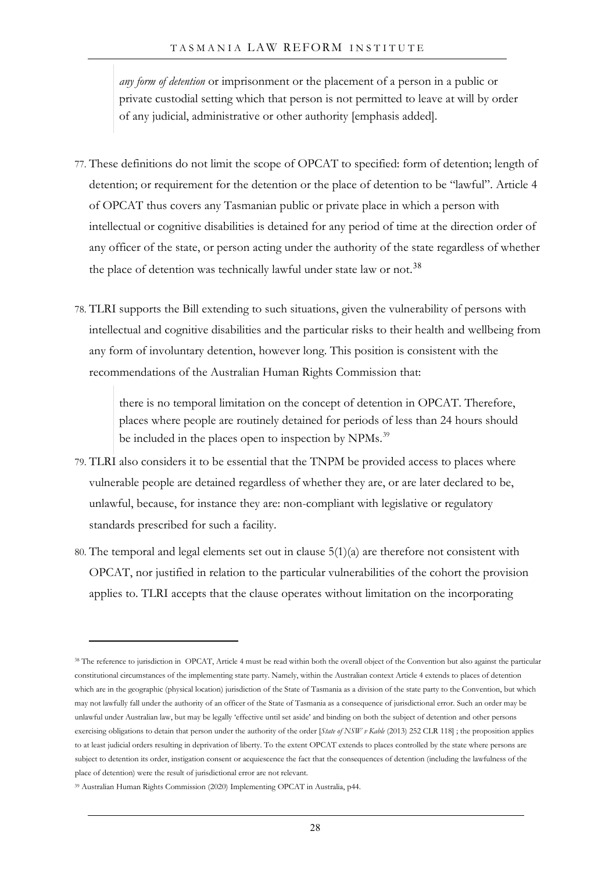*any form of detention* or imprisonment or the placement of a person in a public or private custodial setting which that person is not permitted to leave at will by order of any judicial, administrative or other authority [emphasis added].

- 77. These definitions do not limit the scope of OPCAT to specified: form of detention; length of detention; or requirement for the detention or the place of detention to be "lawful". Article 4 of OPCAT thus covers any Tasmanian public or private place in which a person with intellectual or cognitive disabilities is detained for any period of time at the direction order of any officer of the state, or person acting under the authority of the state regardless of whether the place of detention was technically lawful under state law or not.<sup>[38](#page-29-0)</sup>
- 78. TLRI supports the Bill extending to such situations, given the vulnerability of persons with intellectual and cognitive disabilities and the particular risks to their health and wellbeing from any form of involuntary detention, however long. This position is consistent with the recommendations of the Australian Human Rights Commission that:

there is no temporal limitation on the concept of detention in OPCAT. Therefore, places where people are routinely detained for periods of less than 24 hours should be included in the places open to inspection by NPMs.<sup>[39](#page-29-1)</sup>

- 79. TLRI also considers it to be essential that the TNPM be provided access to places where vulnerable people are detained regardless of whether they are, or are later declared to be, unlawful, because, for instance they are: non-compliant with legislative or regulatory standards prescribed for such a facility.
- 80. The temporal and legal elements set out in clause 5(1)(a) are therefore not consistent with OPCAT, nor justified in relation to the particular vulnerabilities of the cohort the provision applies to. TLRI accepts that the clause operates without limitation on the incorporating

<span id="page-29-0"></span><sup>38</sup> The reference to jurisdiction in OPCAT, Article 4 must be read within both the overall object of the Convention but also against the particular constitutional circumstances of the implementing state party. Namely, within the Australian context Article 4 extends to places of detention which are in the geographic (physical location) jurisdiction of the State of Tasmania as a division of the state party to the Convention, but which may not lawfully fall under the authority of an officer of the State of Tasmania as a consequence of jurisdictional error. Such an order may be unlawful under Australian law, but may be legally 'effective until set aside' and binding on both the subject of detention and other persons exercising obligations to detain that person under the authority of the order [*State of NSW v Kable* (2013) 252 CLR 118] ; the proposition applies to at least judicial orders resulting in deprivation of liberty. To the extent OPCAT extends to places controlled by the state where persons are subject to detention its order, instigation consent or acquiescence the fact that the consequences of detention (including the lawfulness of the place of detention) were the result of jurisdictional error are not relevant.

<span id="page-29-1"></span><sup>39</sup> Australian Human Rights Commission (2020) Implementing OPCAT in Australia, p44.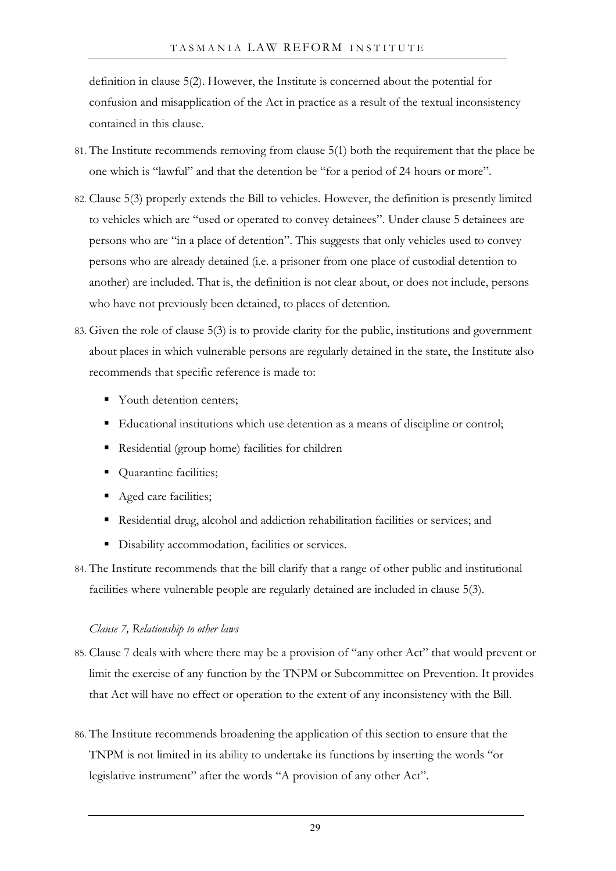definition in clause 5(2). However, the Institute is concerned about the potential for confusion and misapplication of the Act in practice as a result of the textual inconsistency contained in this clause.

- <span id="page-30-0"></span>81. The Institute recommends removing from clause 5(1) both the requirement that the place be one which is "lawful" and that the detention be "for a period of 24 hours or more".
- 82. Clause 5(3) properly extends the Bill to vehicles. However, the definition is presently limited to vehicles which are "used or operated to convey detainees". Under clause 5 detainees are persons who are "in a place of detention". This suggests that only vehicles used to convey persons who are already detained (i.e. a prisoner from one place of custodial detention to another) are included. That is, the definition is not clear about, or does not include, persons who have not previously been detained, to places of detention.
- <span id="page-30-3"></span>83. Given the role of clause 5(3) is to provide clarity for the public, institutions and government about places in which vulnerable persons are regularly detained in the state, the Institute also recommends that specific reference is made to:
	- Youth detention centers;
	- Educational institutions which use detention as a means of discipline or control;
	- Residential (group home) facilities for children
	- Quarantine facilities;
	- Aged care facilities;
	- Residential drug, alcohol and addiction rehabilitation facilities or services; and
	- $\blacksquare$  Disability accommodation, facilities or services.

<span id="page-30-1"></span>84. The Institute recommends that the bill clarify that a range of other public and institutional facilities where vulnerable people are regularly detained are included in clause 5(3).

### *Clause 7, Relationship to other laws*

- 85. Clause 7 deals with where there may be a provision of "any other Act" that would prevent or limit the exercise of any function by the TNPM or Subcommittee on Prevention. It provides that Act will have no effect or operation to the extent of any inconsistency with the Bill.
- <span id="page-30-2"></span>86. The Institute recommends broadening the application of this section to ensure that the TNPM is not limited in its ability to undertake its functions by inserting the words "or legislative instrument" after the words "A provision of any other Act".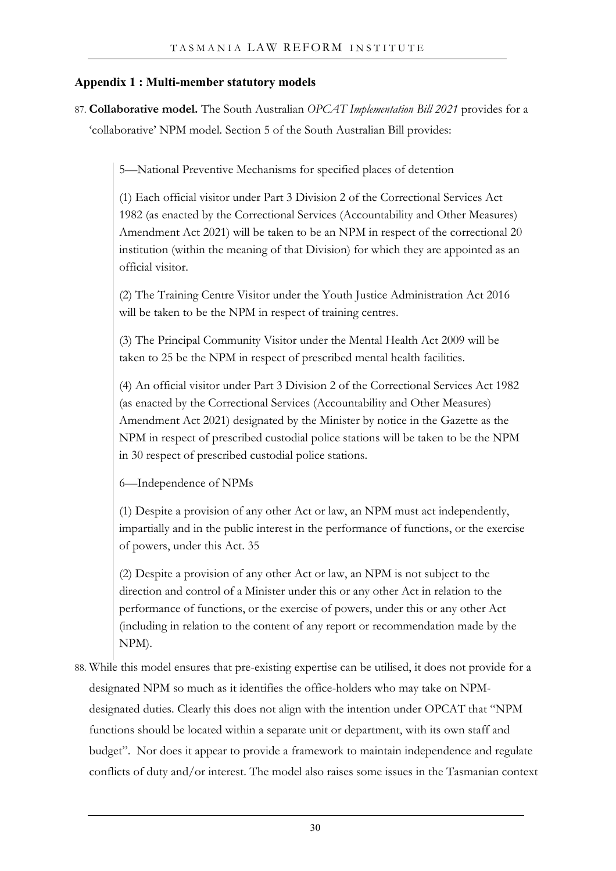## <span id="page-31-0"></span>**Appendix 1 : Multi-member statutory models**

87. **Collaborative model.** The South Australian *OPCAT Implementation Bill 2021* provides for a 'collaborative' NPM model. Section 5 of the South Australian Bill provides:

5—National Preventive Mechanisms for specified places of detention

(1) Each official visitor under Part 3 Division 2 of the Correctional Services Act 1982 (as enacted by the Correctional Services (Accountability and Other Measures) Amendment Act 2021) will be taken to be an NPM in respect of the correctional 20 institution (within the meaning of that Division) for which they are appointed as an official visitor.

(2) The Training Centre Visitor under the Youth Justice Administration Act 2016 will be taken to be the NPM in respect of training centres.

(3) The Principal Community Visitor under the Mental Health Act 2009 will be taken to 25 be the NPM in respect of prescribed mental health facilities.

(4) An official visitor under Part 3 Division 2 of the Correctional Services Act 1982 (as enacted by the Correctional Services (Accountability and Other Measures) Amendment Act 2021) designated by the Minister by notice in the Gazette as the NPM in respect of prescribed custodial police stations will be taken to be the NPM in 30 respect of prescribed custodial police stations.

6—Independence of NPMs

(1) Despite a provision of any other Act or law, an NPM must act independently, impartially and in the public interest in the performance of functions, or the exercise of powers, under this Act. 35

(2) Despite a provision of any other Act or law, an NPM is not subject to the direction and control of a Minister under this or any other Act in relation to the performance of functions, or the exercise of powers, under this or any other Act (including in relation to the content of any report or recommendation made by the NPM).

88. While this model ensures that pre-existing expertise can be utilised, it does not provide for a designated NPM so much as it identifies the office-holders who may take on NPMdesignated duties. Clearly this does not align with the intention under OPCAT that "NPM functions should be located within a separate unit or department, with its own staff and budget". Nor does it appear to provide a framework to maintain independence and regulate conflicts of duty and/or interest. The model also raises some issues in the Tasmanian context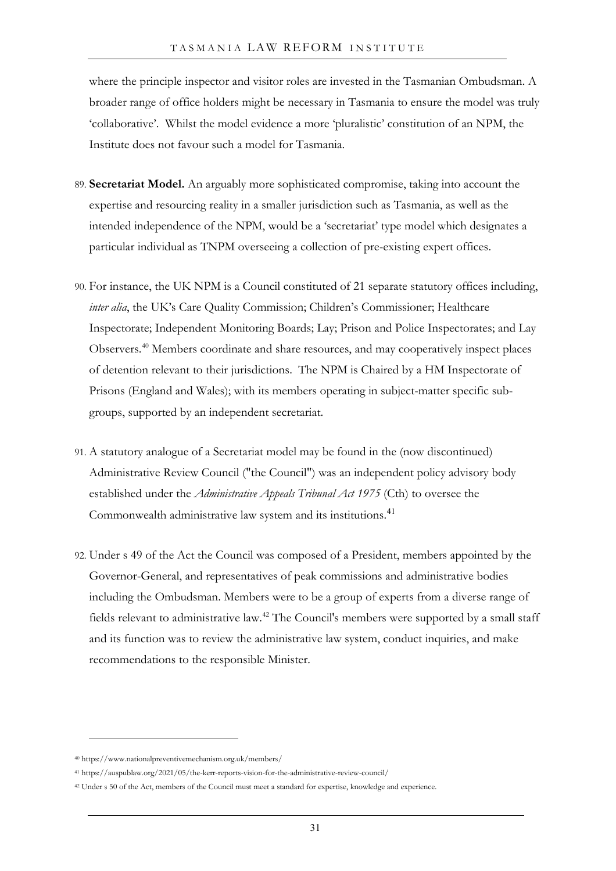where the principle inspector and visitor roles are invested in the Tasmanian Ombudsman. A broader range of office holders might be necessary in Tasmania to ensure the model was truly 'collaborative'. Whilst the model evidence a more 'pluralistic' constitution of an NPM, the Institute does not favour such a model for Tasmania.

- 89. **Secretariat Model.** An arguably more sophisticated compromise, taking into account the expertise and resourcing reality in a smaller jurisdiction such as Tasmania, as well as the intended independence of the NPM, would be a 'secretariat' type model which designates a particular individual as TNPM overseeing a collection of pre-existing expert offices.
- 90. For instance, the UK NPM is a Council constituted of 21 separate statutory offices including, *inter alia*, the UK's Care Quality Commission; Children's Commissioner; Healthcare Inspectorate; Independent Monitoring Boards; Lay; Prison and Police Inspectorates; and Lay Observers.[40](#page-32-0) Members coordinate and share resources, and may cooperatively inspect places of detention relevant to their jurisdictions. The NPM is Chaired by a HM Inspectorate of Prisons (England and Wales); with its members operating in subject-matter specific subgroups, supported by an independent secretariat.
- 91. A statutory analogue of a Secretariat model may be found in the (now discontinued) Administrative Review Council ("the Council") was an independent policy advisory body established under the *Administrative Appeals Tribunal Act 1975* (Cth) to oversee the Commonwealth administrative law system and its institutions.[41](#page-32-1)
- 92. Under s 49 of the Act the Council was composed of a President, members appointed by the Governor-General, and representatives of peak commissions and administrative bodies including the Ombudsman. Members were to be a group of experts from a diverse range of fields relevant to administrative law.[42](#page-32-2) The Council's members were supported by a small staff and its function was to review the administrative law system, conduct inquiries, and make recommendations to the responsible Minister.

<span id="page-32-0"></span><sup>40</sup> https://www.nationalpreventivemechanism.org.uk/members/

<span id="page-32-1"></span><sup>41</sup> https://auspublaw.org/2021/05/the-kerr-reports-vision-for-the-administrative-review-council/

<span id="page-32-2"></span><sup>42</sup> Under s 50 of the Act, members of the Council must meet a standard for expertise, knowledge and experience.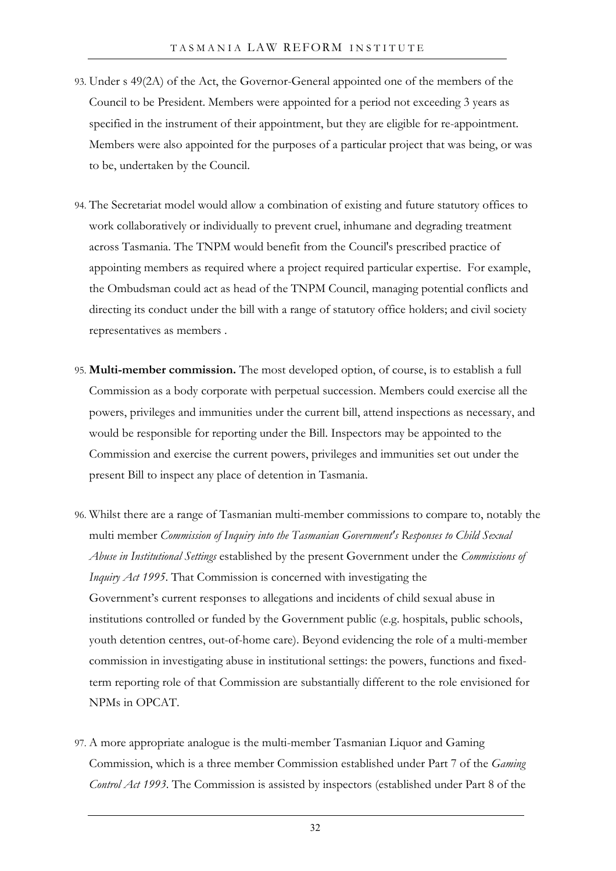- 93. Under s 49(2A) of the Act, the Governor-General appointed one of the members of the Council to be President. Members were appointed for a period not exceeding 3 years as specified in the instrument of their appointment, but they are eligible for re-appointment. Members were also appointed for the purposes of a particular project that was being, or was to be, undertaken by the Council.
- 94. The Secretariat model would allow a combination of existing and future statutory offices to work collaboratively or individually to prevent cruel, inhumane and degrading treatment across Tasmania. The TNPM would benefit from the Council's prescribed practice of appointing members as required where a project required particular expertise. For example, the Ombudsman could act as head of the TNPM Council, managing potential conflicts and directing its conduct under the bill with a range of statutory office holders; and civil society representatives as members .
- 95. **Multi-member commission.** The most developed option, of course, is to establish a full Commission as a body corporate with perpetual succession. Members could exercise all the powers, privileges and immunities under the current bill, attend inspections as necessary, and would be responsible for reporting under the Bill. Inspectors may be appointed to the Commission and exercise the current powers, privileges and immunities set out under the present Bill to inspect any place of detention in Tasmania.
- 96. Whilst there are a range of Tasmanian multi-member commissions to compare to, notably the multi member *Commission of Inquiry into the Tasmanian Government's Responses to Child Sexual Abuse in Institutional Settings* established by the present Government under the *Commissions of Inquiry Act 1995*. That Commission is concerned with investigating the Government's current responses to allegations and incidents of child sexual abuse in institutions controlled or funded by the Government public (e.g. hospitals, public schools, youth detention centres, out-of-home care). Beyond evidencing the role of a multi-member commission in investigating abuse in institutional settings: the powers, functions and fixedterm reporting role of that Commission are substantially different to the role envisioned for NPMs in OPCAT.
- 97. A more appropriate analogue is the multi-member Tasmanian Liquor and Gaming Commission, which is a three member Commission established under Part 7 of the *Gaming Control Act 1993*. The Commission is assisted by inspectors (established under Part 8 of the